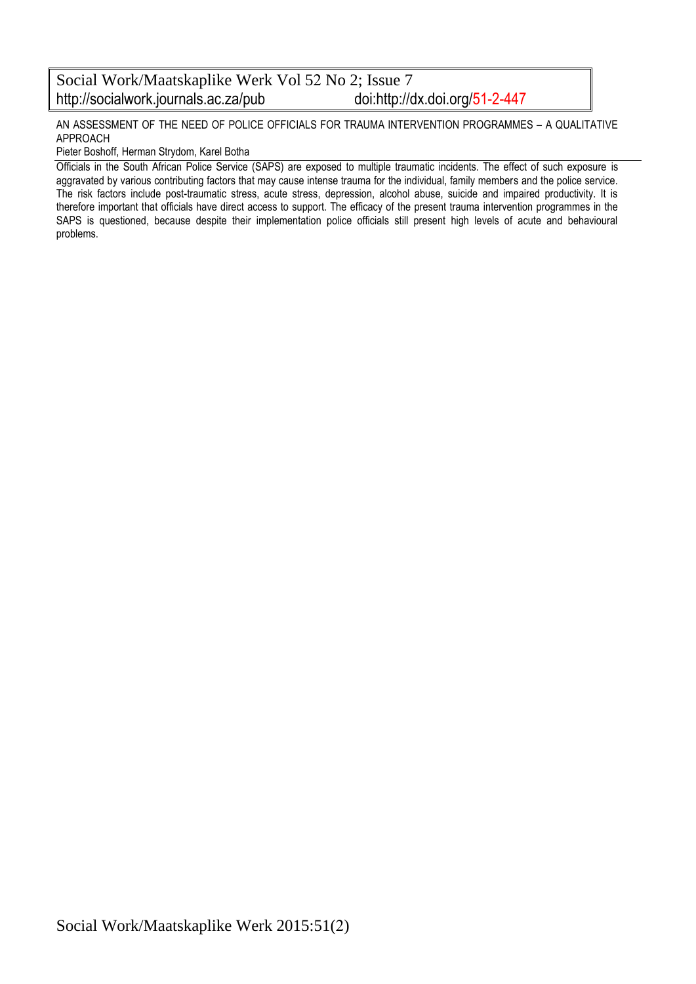#### Social Work/Maatskaplike Werk Vol 52 No 2; Issue 7<br>http://socialwork.journals.ac.za/pub doi:http://dx.doi.org/51-2-447 http://socialwork.journals.ac.za/pub

AN ASSESSMENT OF THE NEED OF POLICE OFFICIALS FOR TRAUMA INTERVENTION PROGRAMMES – A QUALITATIVE APPROACH

#### Pieter Boshoff, Herman Strydom, Karel Botha

Officials in the South African Police Service (SAPS) are exposed to multiple traumatic incidents. The effect of such exposure is aggravated by various contributing factors that may cause intense trauma for the individual, family members and the police service. The risk factors include post-traumatic stress, acute stress, depression, alcohol abuse, suicide and impaired productivity. It is therefore important that officials have direct access to support. The efficacy of the present trauma intervention programmes in the SAPS is questioned, because despite their implementation police officials still present high levels of acute and behavioural problems.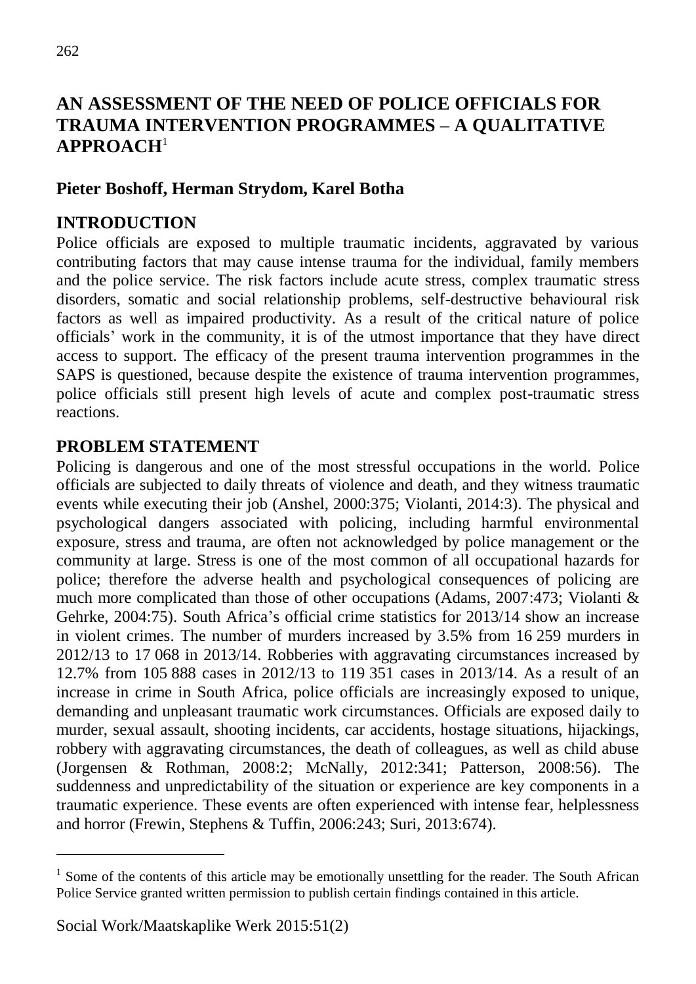# **AN ASSESSMENT OF THE NEED OF POLICE OFFICIALS FOR TRAUMA INTERVENTION PROGRAMMES – A QUALITATIVE APPROACH**<sup>1</sup>

## **Pieter Boshoff, Herman Strydom, Karel Botha**

### **INTRODUCTION**

Police officials are exposed to multiple traumatic incidents, aggravated by various contributing factors that may cause intense trauma for the individual, family members and the police service. The risk factors include acute stress, complex traumatic stress disorders, somatic and social relationship problems, self-destructive behavioural risk factors as well as impaired productivity. As a result of the critical nature of police officials' work in the community, it is of the utmost importance that they have direct access to support. The efficacy of the present trauma intervention programmes in the SAPS is questioned, because despite the existence of trauma intervention programmes, police officials still present high levels of acute and complex post-traumatic stress reactions.

### **PROBLEM STATEMENT**

Policing is dangerous and one of the most stressful occupations in the world. Police officials are subjected to daily threats of violence and death, and they witness traumatic events while executing their job (Anshel, 2000:375; Violanti, 2014:3). The physical and psychological dangers associated with policing, including harmful environmental exposure, stress and trauma, are often not acknowledged by police management or the community at large. Stress is one of the most common of all occupational hazards for police; therefore the adverse health and psychological consequences of policing are much more complicated than those of other occupations (Adams, 2007:473; Violanti & Gehrke, 2004:75). South Africa's official crime statistics for 2013/14 show an increase in violent crimes. The number of murders increased by 3.5% from 16 259 murders in 2012/13 to 17 068 in 2013/14. Robberies with aggravating circumstances increased by 12.7% from 105 888 cases in 2012/13 to 119 351 cases in 2013/14. As a result of an increase in crime in South Africa, police officials are increasingly exposed to unique, demanding and unpleasant traumatic work circumstances. Officials are exposed daily to murder, sexual assault, shooting incidents, car accidents, hostage situations, hijackings, robbery with aggravating circumstances, the death of colleagues, as well as child abuse (Jorgensen & Rothman, 2008:2; McNally, 2012:341; Patterson, 2008:56). The suddenness and unpredictability of the situation or experience are key components in a traumatic experience. These events are often experienced with intense fear, helplessness and horror (Frewin, Stephens & Tuffin, 2006:243; Suri, 2013:674).

<sup>&</sup>lt;sup>1</sup> Some of the contents of this article may be emotionally unsettling for the reader. The South African Police Service granted written permission to publish certain findings contained in this article.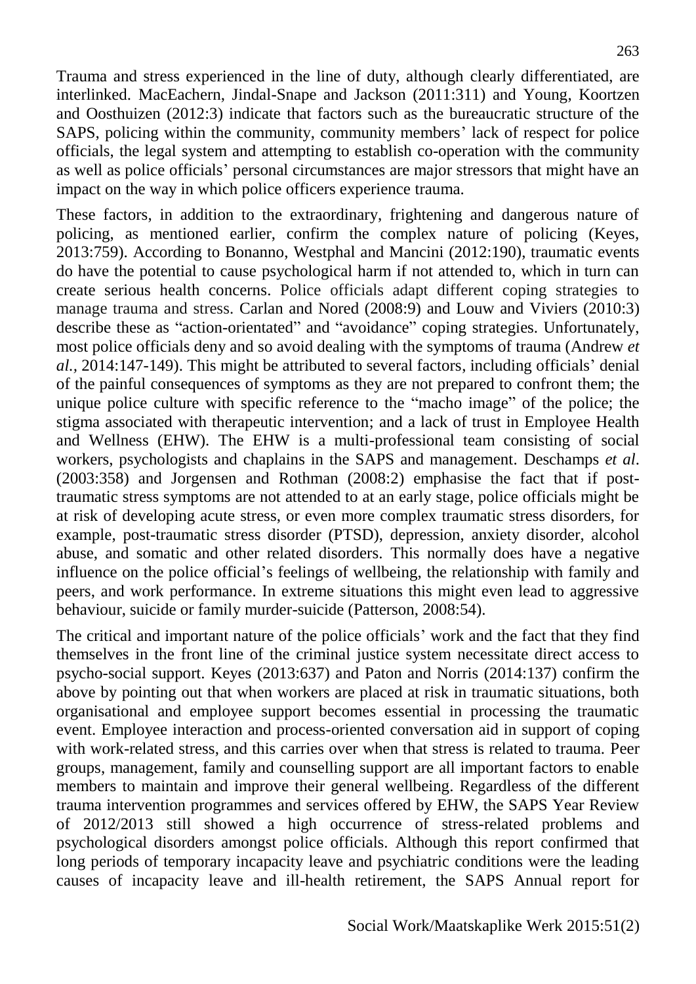Trauma and stress experienced in the line of duty, although clearly differentiated, are interlinked. MacEachern, Jindal-Snape and Jackson (2011:311) and Young, Koortzen and Oosthuizen (2012:3) indicate that factors such as the bureaucratic structure of the SAPS, policing within the community, community members' lack of respect for police officials, the legal system and attempting to establish co-operation with the community as well as police officials' personal circumstances are major stressors that might have an impact on the way in which police officers experience trauma.

These factors, in addition to the extraordinary, frightening and dangerous nature of policing, as mentioned earlier, confirm the complex nature of policing (Keyes, 2013:759). According to Bonanno, Westphal and Mancini (2012:190), traumatic events do have the potential to cause psychological harm if not attended to, which in turn can create serious health concerns. Police officials adapt different coping strategies to manage trauma and stress. Carlan and Nored (2008:9) and Louw and Viviers (2010:3) describe these as "action-orientated" and "avoidance" coping strategies. Unfortunately, most police officials deny and so avoid dealing with the symptoms of trauma (Andrew *et al.,* 2014:147-149). This might be attributed to several factors, including officials' denial of the painful consequences of symptoms as they are not prepared to confront them; the unique police culture with specific reference to the "macho image" of the police; the stigma associated with therapeutic intervention; and a lack of trust in Employee Health and Wellness (EHW). The EHW is a multi-professional team consisting of social workers, psychologists and chaplains in the SAPS and management. Deschamps *et al*. (2003:358) and Jorgensen and Rothman (2008:2) emphasise the fact that if posttraumatic stress symptoms are not attended to at an early stage, police officials might be at risk of developing acute stress, or even more complex traumatic stress disorders, for example, post-traumatic stress disorder (PTSD), depression, anxiety disorder, alcohol abuse, and somatic and other related disorders. This normally does have a negative influence on the police official's feelings of wellbeing, the relationship with family and peers, and work performance. In extreme situations this might even lead to aggressive behaviour, suicide or family murder-suicide (Patterson, 2008:54).

The critical and important nature of the police officials' work and the fact that they find themselves in the front line of the criminal justice system necessitate direct access to psycho-social support. Keyes (2013:637) and Paton and Norris (2014:137) confirm the above by pointing out that when workers are placed at risk in traumatic situations, both organisational and employee support becomes essential in processing the traumatic event. Employee interaction and process-oriented conversation aid in support of coping with work-related stress, and this carries over when that stress is related to trauma. Peer groups, management, family and counselling support are all important factors to enable members to maintain and improve their general wellbeing. Regardless of the different trauma intervention programmes and services offered by EHW, the SAPS Year Review of 2012/2013 still showed a high occurrence of stress-related problems and psychological disorders amongst police officials. Although this report confirmed that long periods of temporary incapacity leave and psychiatric conditions were the leading causes of incapacity leave and ill-health retirement, the SAPS Annual report for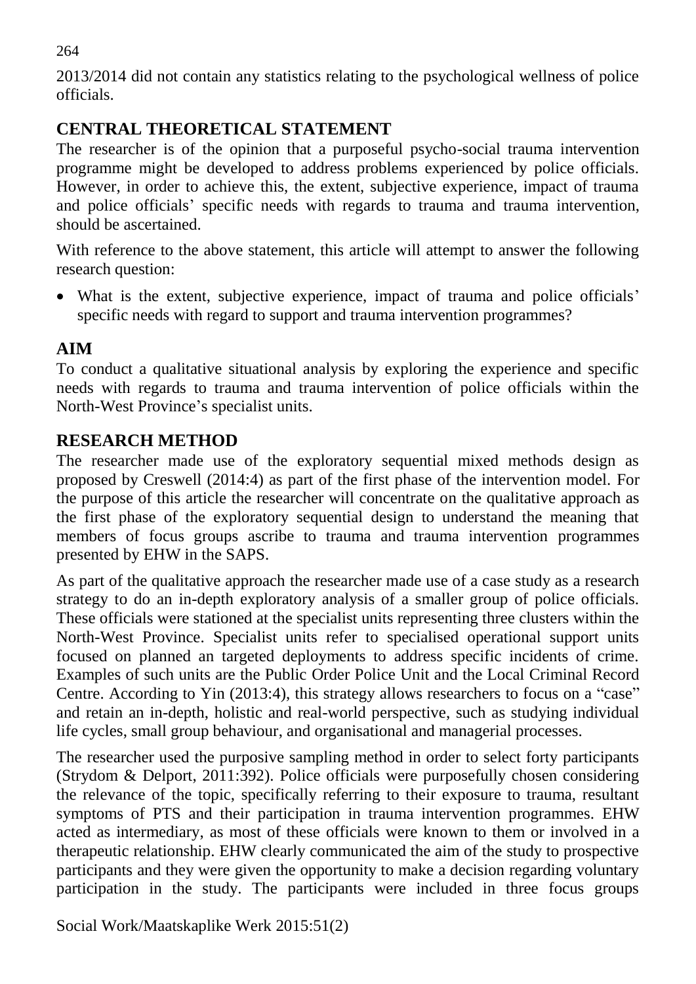264

2013/2014 did not contain any statistics relating to the psychological wellness of police officials.

# **CENTRAL THEORETICAL STATEMENT**

The researcher is of the opinion that a purposeful psycho-social trauma intervention programme might be developed to address problems experienced by police officials. However, in order to achieve this, the extent, subjective experience, impact of trauma and police officials' specific needs with regards to trauma and trauma intervention, should be ascertained.

With reference to the above statement, this article will attempt to answer the following research question:

 What is the extent, subjective experience, impact of trauma and police officials' specific needs with regard to support and trauma intervention programmes?

# **AIM**

To conduct a qualitative situational analysis by exploring the experience and specific needs with regards to trauma and trauma intervention of police officials within the North-West Province's specialist units.

# **RESEARCH METHOD**

The researcher made use of the exploratory sequential mixed methods design as proposed by Creswell (2014:4) as part of the first phase of the intervention model. For the purpose of this article the researcher will concentrate on the qualitative approach as the first phase of the exploratory sequential design to understand the meaning that members of focus groups ascribe to trauma and trauma intervention programmes presented by EHW in the SAPS.

As part of the qualitative approach the researcher made use of a case study as a research strategy to do an in-depth exploratory analysis of a smaller group of police officials. These officials were stationed at the specialist units representing three clusters within the North-West Province. Specialist units refer to specialised operational support units focused on planned an targeted deployments to address specific incidents of crime. Examples of such units are the Public Order Police Unit and the Local Criminal Record Centre. According to Yin (2013:4), this strategy allows researchers to focus on a "case" and retain an in-depth, holistic and real-world perspective, such as studying individual life cycles, small group behaviour, and organisational and managerial processes.

The researcher used the purposive sampling method in order to select forty participants (Strydom & Delport, 2011:392). Police officials were purposefully chosen considering the relevance of the topic, specifically referring to their exposure to trauma, resultant symptoms of PTS and their participation in trauma intervention programmes. EHW acted as intermediary, as most of these officials were known to them or involved in a therapeutic relationship. EHW clearly communicated the aim of the study to prospective participants and they were given the opportunity to make a decision regarding voluntary participation in the study. The participants were included in three focus groups

Social Work/Maatskaplike Werk 2015:51(2)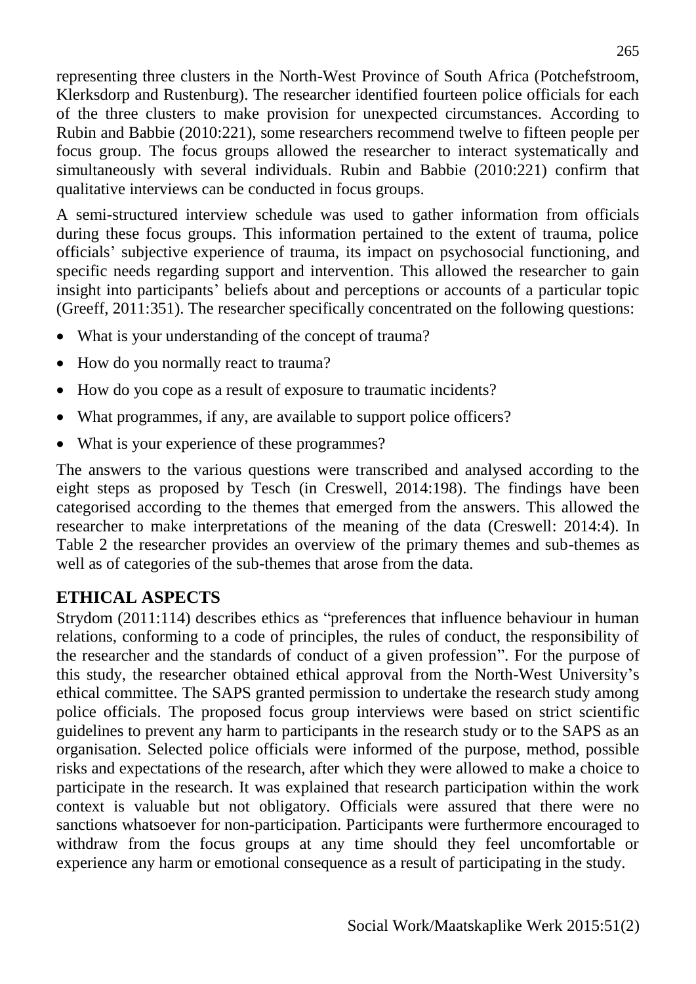representing three clusters in the North-West Province of South Africa (Potchefstroom, Klerksdorp and Rustenburg). The researcher identified fourteen police officials for each of the three clusters to make provision for unexpected circumstances. According to Rubin and Babbie (2010:221), some researchers recommend twelve to fifteen people per focus group. The focus groups allowed the researcher to interact systematically and simultaneously with several individuals. Rubin and Babbie (2010:221) confirm that qualitative interviews can be conducted in focus groups.

A semi-structured interview schedule was used to gather information from officials during these focus groups. This information pertained to the extent of trauma, police officials' subjective experience of trauma, its impact on psychosocial functioning, and specific needs regarding support and intervention. This allowed the researcher to gain insight into participants' beliefs about and perceptions or accounts of a particular topic (Greeff, 2011:351). The researcher specifically concentrated on the following questions:

- What is your understanding of the concept of trauma?
- How do you normally react to trauma?
- How do you cope as a result of exposure to traumatic incidents?
- What programmes, if any, are available to support police officers?
- What is your experience of these programmes?

The answers to the various questions were transcribed and analysed according to the eight steps as proposed by Tesch (in Creswell, 2014:198). The findings have been categorised according to the themes that emerged from the answers. This allowed the researcher to make interpretations of the meaning of the data (Creswell: 2014:4). In Table 2 the researcher provides an overview of the primary themes and sub-themes as well as of categories of the sub-themes that arose from the data.

## **ETHICAL ASPECTS**

Strydom (2011:114) describes ethics as "preferences that influence behaviour in human relations, conforming to a code of principles, the rules of conduct, the responsibility of the researcher and the standards of conduct of a given profession". For the purpose of this study, the researcher obtained ethical approval from the North-West University's ethical committee. The SAPS granted permission to undertake the research study among police officials. The proposed focus group interviews were based on strict scientific guidelines to prevent any harm to participants in the research study or to the SAPS as an organisation. Selected police officials were informed of the purpose, method, possible risks and expectations of the research, after which they were allowed to make a choice to participate in the research. It was explained that research participation within the work context is valuable but not obligatory. Officials were assured that there were no sanctions whatsoever for non-participation. Participants were furthermore encouraged to withdraw from the focus groups at any time should they feel uncomfortable or experience any harm or emotional consequence as a result of participating in the study.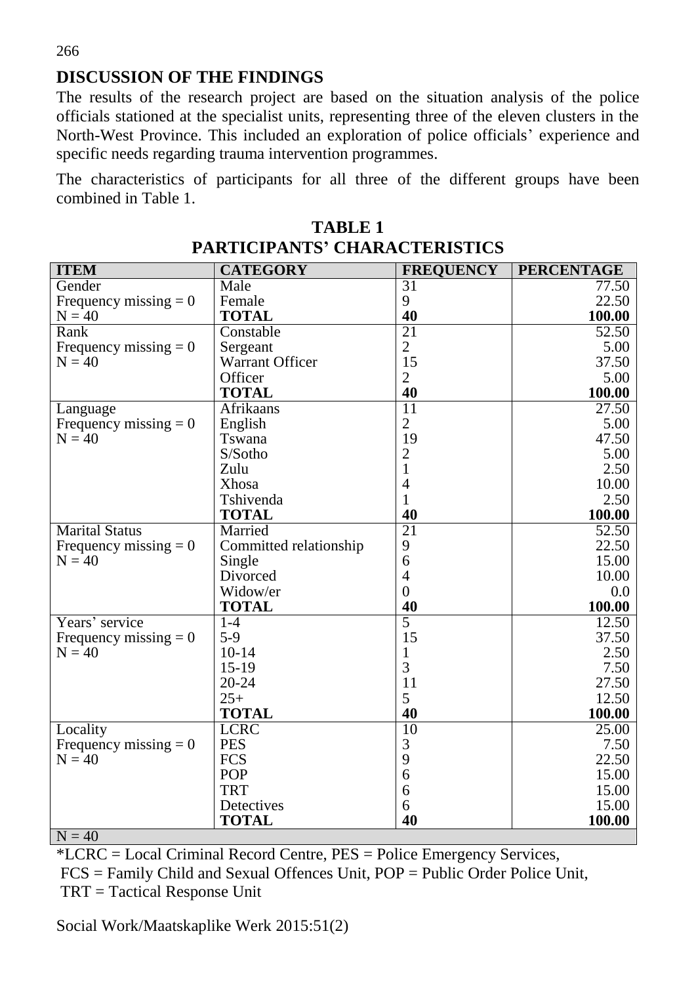**DISCUSSION OF THE FINDINGS** 

The results of the research project are based on the situation analysis of the police officials stationed at the specialist units, representing three of the eleven clusters in the North-West Province. This included an exploration of police officials' experience and specific needs regarding trauma intervention programmes.

The characteristics of participants for all three of the different groups have been combined in Table 1.

| <b>ITEM</b>             | <b>CATEGORY</b>        | <b>FREQUENCY</b> | <b>PERCENTAGE</b>  |
|-------------------------|------------------------|------------------|--------------------|
| Gender                  | Male                   | 31               | 77.50              |
| Frequency missing $= 0$ | Female                 | 9                | 22.50              |
| $N = 40$                | <b>TOTAL</b>           | 40               | 100.00             |
| Rank                    | Constable              | $\overline{21}$  | 52.50              |
| Frequency missing $= 0$ | Sergeant               | $\overline{2}$   | 5.00               |
| $N = 40$                | Warrant Officer        | 15               | 37.50              |
|                         | Officer                | $\overline{2}$   | 5.00               |
|                         | <b>TOTAL</b>           | 40               | 100.00             |
| Language                | Afrikaans              | $\overline{11}$  | $\overline{27.50}$ |
| Frequency missing $= 0$ | English                | $\overline{2}$   | 5.00               |
| $N = 40$                | Tswana                 | 19               | 47.50              |
|                         | S/Sotho                | $\mathbf{2}$     | 5.00               |
|                         | Zulu                   | 1                | 2.50               |
|                         | Xhosa                  | $\overline{4}$   | 10.00              |
|                         | Tshivenda              | $\mathbf{1}$     | 2.50               |
|                         | <b>TOTAL</b>           | 40               | 100.00             |
| <b>Marital Status</b>   | Married                | $\overline{21}$  | 52.50              |
| Frequency missing $= 0$ | Committed relationship | 9                | 22.50              |
| $N = 40$                | Single                 | 6                | 15.00              |
|                         | Divorced               | $\overline{4}$   | 10.00              |
|                         | Widow/er               | $\overline{0}$   | 0.0                |
|                         | <b>TOTAL</b>           | 40               | 100.00             |
| Years' service          | $1-4$                  | 5                | 12.50              |
| Frequency missing $= 0$ | $5-9$                  | 15               | 37.50              |
| $N = 40$                | $10 - 14$              | 1                | 2.50               |
|                         | $15-19$                | 3                | 7.50               |
|                         | $20 - 24$              | 11               | 27.50              |
|                         | $25+$                  | 5                | 12.50              |
|                         | <b>TOTAL</b>           | 40               | 100.00             |
| Locality                | <b>LCRC</b>            | 10               | 25.00              |
| Frequency missing $= 0$ | <b>PES</b>             | 3                | 7.50               |
| $N = 40$                | <b>FCS</b>             | 9                | 22.50              |
|                         | <b>POP</b>             | 6                | 15.00              |
|                         | <b>TRT</b>             | 6                | 15.00              |
|                         | Detectives             | 6                | 15.00              |
|                         | <b>TOTAL</b>           | 40               | 100.00             |
| $N = 40$                |                        |                  |                    |

**TABLE 1 PARTICIPANTS' CHARACTERISTICS** 

\*LCRC = Local Criminal Record Centre, PES = Police Emergency Services, FCS = Family Child and Sexual Offences Unit, POP = Public Order Police Unit, TRT = Tactical Response Unit

Social Work/Maatskaplike Werk 2015:51(2)

266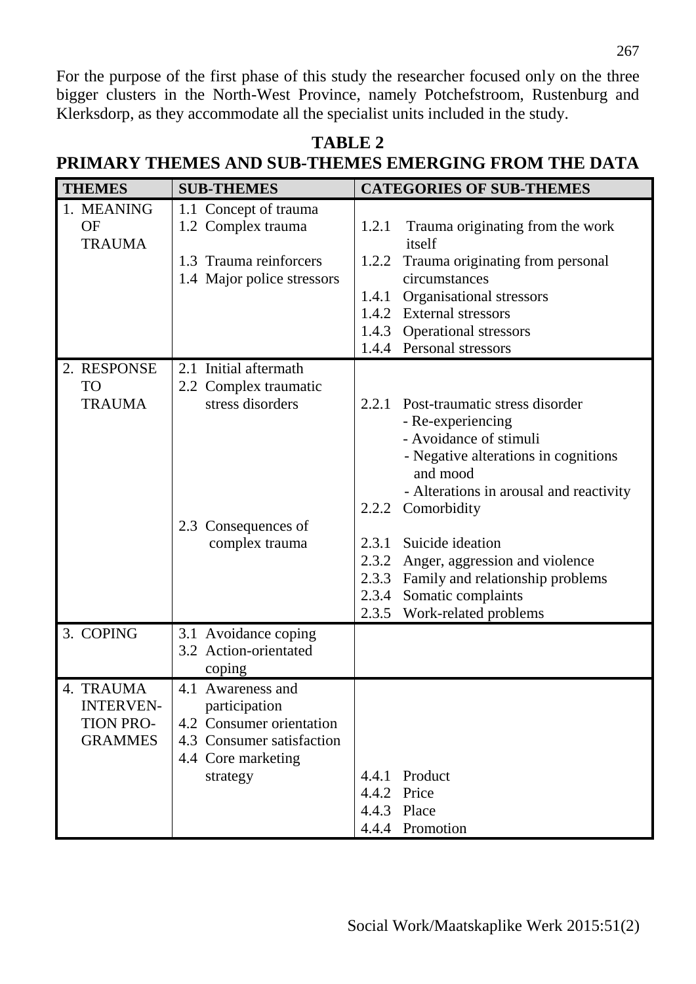For the purpose of the first phase of this study the researcher focused only on the three bigger clusters in the North-West Province, namely Potchefstroom, Rustenburg and Klerksdorp, as they accommodate all the specialist units included in the study.

| <b>THEMES</b><br><b>SUB-THEMES</b>                                                                                                   | <b>CATEGORIES OF SUB-THEMES</b>         |  |  |
|--------------------------------------------------------------------------------------------------------------------------------------|-----------------------------------------|--|--|
| 1. MEANING<br>1.1 Concept of trauma                                                                                                  |                                         |  |  |
| <b>OF</b><br>1.2 Complex trauma<br>1.2.1<br><b>TRAUMA</b><br>itself                                                                  | Trauma originating from the work        |  |  |
| 1.3 Trauma reinforcers<br>1.2.2 Trauma originating from personal                                                                     |                                         |  |  |
| circumstances<br>1.4 Major police stressors                                                                                          |                                         |  |  |
| Organisational stressors<br>1.4.1                                                                                                    |                                         |  |  |
| <b>External stressors</b><br>1.4.2                                                                                                   |                                         |  |  |
| 1.4.3 Operational stressors                                                                                                          |                                         |  |  |
| 1.4.4 Personal stressors                                                                                                             |                                         |  |  |
| 2.1 Initial aftermath<br>2. RESPONSE                                                                                                 |                                         |  |  |
| <b>TO</b><br>2.2 Complex traumatic<br>stress disorders<br><b>TRAUMA</b><br>2.2.1 Post-traumatic stress disorder<br>- Re-experiencing |                                         |  |  |
| - Avoidance of stimuli<br>and mood                                                                                                   | - Negative alterations in cognitions    |  |  |
|                                                                                                                                      | - Alterations in arousal and reactivity |  |  |
| Comorbidity<br>2.2.2                                                                                                                 |                                         |  |  |
| 2.3 Consequences of                                                                                                                  |                                         |  |  |
| complex trauma<br>Suicide ideation<br>2.3.1                                                                                          |                                         |  |  |
| 2.3.2<br>Anger, aggression and violence                                                                                              |                                         |  |  |
| 2.3.3<br>Somatic complaints<br>2.3.4                                                                                                 | Family and relationship problems        |  |  |
| 2.3.5 Work-related problems                                                                                                          |                                         |  |  |
| 3. COPING<br>3.1 Avoidance coping                                                                                                    |                                         |  |  |
| 3.2 Action-orientated                                                                                                                |                                         |  |  |
| coping                                                                                                                               |                                         |  |  |
| 4. TRAUMA<br>4.1 Awareness and                                                                                                       |                                         |  |  |
| <b>INTERVEN-</b><br>participation                                                                                                    |                                         |  |  |
| 4.2 Consumer orientation<br><b>TION PRO-</b>                                                                                         |                                         |  |  |
| <b>GRAMMES</b><br>4.3 Consumer satisfaction                                                                                          |                                         |  |  |
| 4.4 Core marketing                                                                                                                   |                                         |  |  |
| Product<br>4.4.1<br>strategy<br>4.4.2 Price                                                                                          |                                         |  |  |
| 4.4.3 Place                                                                                                                          |                                         |  |  |
|                                                                                                                                      |                                         |  |  |

#### **TABLE 2 PRIMARY THEMES AND SUB-THEMES EMERGING FROM THE DATA**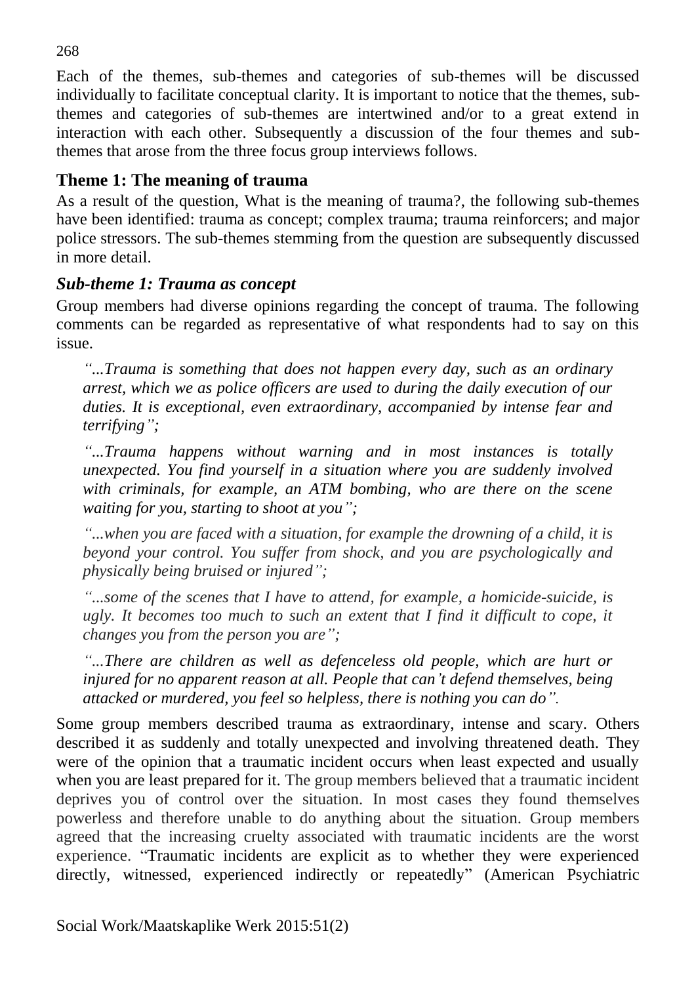Each of the themes, sub-themes and categories of sub-themes will be discussed individually to facilitate conceptual clarity. It is important to notice that the themes, subthemes and categories of sub-themes are intertwined and/or to a great extend in interaction with each other. Subsequently a discussion of the four themes and subthemes that arose from the three focus group interviews follows.

## **Theme 1: The meaning of trauma**

As a result of the question, What is the meaning of trauma?, the following sub-themes have been identified: trauma as concept; complex trauma; trauma reinforcers; and major police stressors. The sub-themes stemming from the question are subsequently discussed in more detail.

## *Sub-theme 1: Trauma as concept*

Group members had diverse opinions regarding the concept of trauma. The following comments can be regarded as representative of what respondents had to say on this issue.

*"...Trauma is something that does not happen every day, such as an ordinary arrest, which we as police officers are used to during the daily execution of our duties. It is exceptional, even extraordinary, accompanied by intense fear and terrifying";*

*"...Trauma happens without warning and in most instances is totally unexpected. You find yourself in a situation where you are suddenly involved with criminals, for example, an ATM bombing, who are there on the scene waiting for you, starting to shoot at you";*

*"...when you are faced with a situation, for example the drowning of a child, it is beyond your control. You suffer from shock, and you are psychologically and physically being bruised or injured";*

*"...some of the scenes that I have to attend, for example, a homicide-suicide, is ugly. It becomes too much to such an extent that I find it difficult to cope, it changes you from the person you are";*

*"...There are children as well as defenceless old people, which are hurt or injured for no apparent reason at all. People that can't defend themselves, being attacked or murdered, you feel so helpless, there is nothing you can do".*

Some group members described trauma as extraordinary, intense and scary. Others described it as suddenly and totally unexpected and involving threatened death. They were of the opinion that a traumatic incident occurs when least expected and usually when you are least prepared for it. The group members believed that a traumatic incident deprives you of control over the situation. In most cases they found themselves powerless and therefore unable to do anything about the situation. Group members agreed that the increasing cruelty associated with traumatic incidents are the worst experience. "Traumatic incidents are explicit as to whether they were experienced directly, witnessed, experienced indirectly or repeatedly" (American Psychiatric

268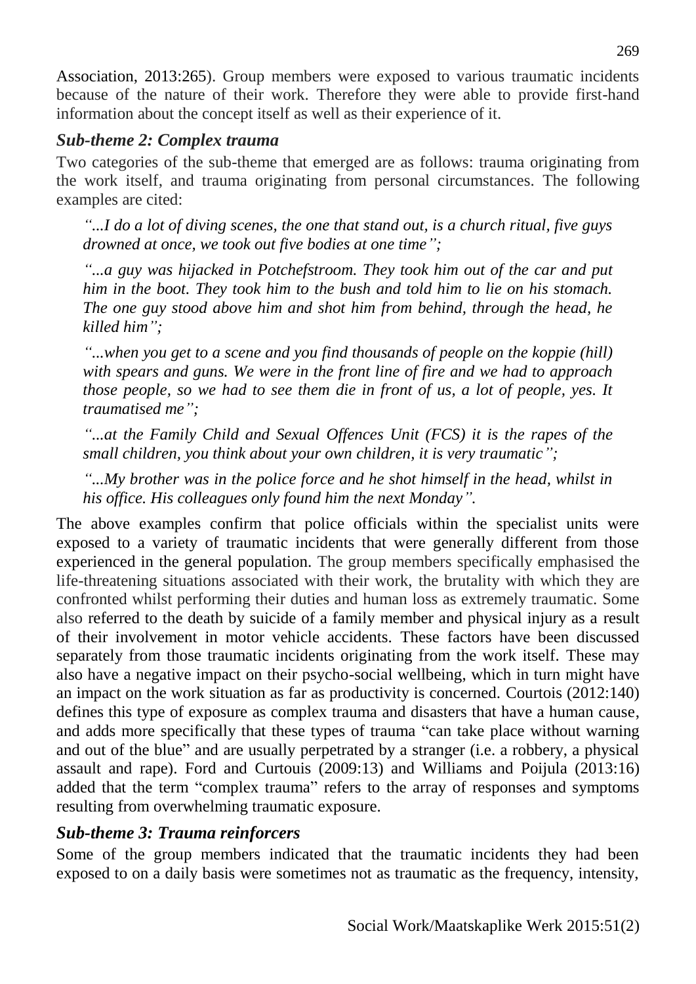Association, 2013:265). Group members were exposed to various traumatic incidents because of the nature of their work. Therefore they were able to provide first-hand information about the concept itself as well as their experience of it.

### *Sub-theme 2: Complex trauma*

Two categories of the sub-theme that emerged are as follows: trauma originating from the work itself, and trauma originating from personal circumstances. The following examples are cited:

*"...I do a lot of diving scenes, the one that stand out, is a church ritual, five guys drowned at once, we took out five bodies at one time";*

*"...a guy was hijacked in Potchefstroom. They took him out of the car and put him in the boot. They took him to the bush and told him to lie on his stomach. The one guy stood above him and shot him from behind, through the head, he killed him";*

*"...when you get to a scene and you find thousands of people on the koppie (hill) with spears and guns. We were in the front line of fire and we had to approach those people, so we had to see them die in front of us, a lot of people, yes. It traumatised me";*

*"...at the Family Child and Sexual Offences Unit (FCS) it is the rapes of the small children, you think about your own children, it is very traumatic";*

*"...My brother was in the police force and he shot himself in the head, whilst in his office. His colleagues only found him the next Monday".*

The above examples confirm that police officials within the specialist units were exposed to a variety of traumatic incidents that were generally different from those experienced in the general population. The group members specifically emphasised the life-threatening situations associated with their work, the brutality with which they are confronted whilst performing their duties and human loss as extremely traumatic. Some also referred to the death by suicide of a family member and physical injury as a result of their involvement in motor vehicle accidents. These factors have been discussed separately from those traumatic incidents originating from the work itself. These may also have a negative impact on their psycho-social wellbeing, which in turn might have an impact on the work situation as far as productivity is concerned. Courtois (2012:140) defines this type of exposure as complex trauma and disasters that have a human cause, and adds more specifically that these types of trauma "can take place without warning and out of the blue" and are usually perpetrated by a stranger (i.e. a robbery, a physical assault and rape). Ford and Curtouis (2009:13) and Williams and Poijula (2013:16) added that the term "complex trauma" refers to the array of responses and symptoms resulting from overwhelming traumatic exposure.

# *Sub-theme 3: Trauma reinforcers*

Some of the group members indicated that the traumatic incidents they had been exposed to on a daily basis were sometimes not as traumatic as the frequency, intensity,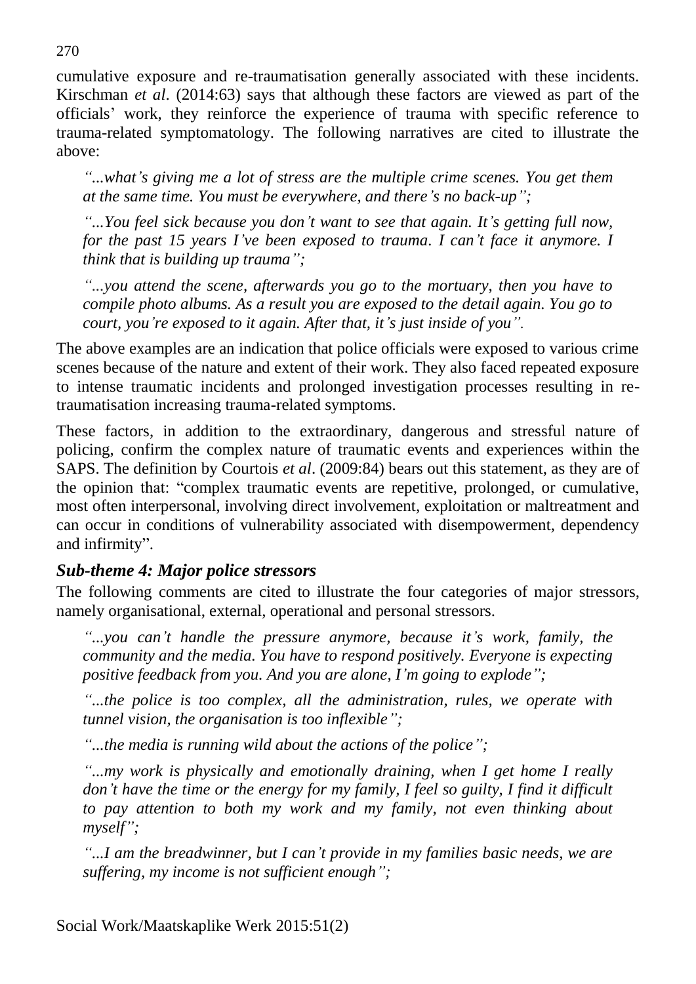cumulative exposure and re-traumatisation generally associated with these incidents. Kirschman *et al*. (2014:63) says that although these factors are viewed as part of the officials' work, they reinforce the experience of trauma with specific reference to trauma-related symptomatology. The following narratives are cited to illustrate the above:

*"...what's giving me a lot of stress are the multiple crime scenes. You get them at the same time. You must be everywhere, and there's no back-up";*

*"...You feel sick because you don't want to see that again. It's getting full now, for the past 15 years I've been exposed to trauma. I can't face it anymore. I think that is building up trauma";*

*"...you attend the scene, afterwards you go to the mortuary, then you have to compile photo albums. As a result you are exposed to the detail again. You go to court, you're exposed to it again. After that, it's just inside of you".*

The above examples are an indication that police officials were exposed to various crime scenes because of the nature and extent of their work. They also faced repeated exposure to intense traumatic incidents and prolonged investigation processes resulting in retraumatisation increasing trauma-related symptoms.

These factors, in addition to the extraordinary, dangerous and stressful nature of policing, confirm the complex nature of traumatic events and experiences within the SAPS. The definition by Courtois *et al*. (2009:84) bears out this statement, as they are of the opinion that: "complex traumatic events are repetitive, prolonged, or cumulative, most often interpersonal, involving direct involvement, exploitation or maltreatment and can occur in conditions of vulnerability associated with disempowerment, dependency and infirmity".

## *Sub-theme 4: Major police stressors*

The following comments are cited to illustrate the four categories of major stressors, namely organisational, external, operational and personal stressors.

*"...you can't handle the pressure anymore, because it's work, family, the community and the media. You have to respond positively. Everyone is expecting positive feedback from you. And you are alone, I'm going to explode";*

*"...the police is too complex, all the administration, rules, we operate with tunnel vision, the organisation is too inflexible";*

*"...the media is running wild about the actions of the police";*

*"...my work is physically and emotionally draining, when I get home I really don't have the time or the energy for my family, I feel so guilty, I find it difficult*  to pay attention to both my work and my family, not even thinking about *myself";*

*"...I am the breadwinner, but I can't provide in my families basic needs, we are suffering, my income is not sufficient enough";*

270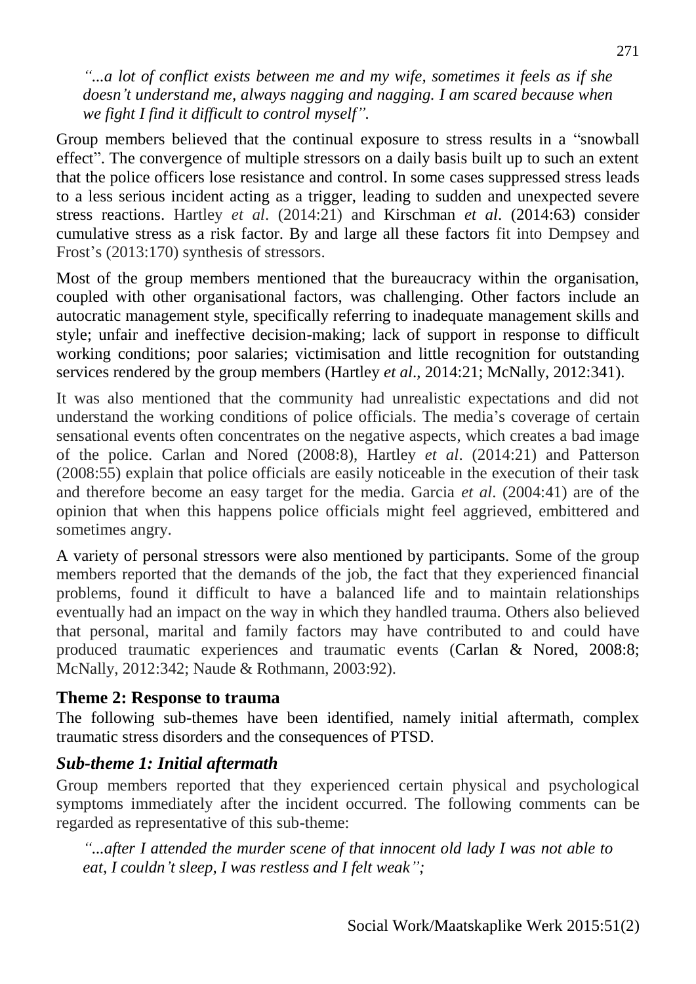*"...a lot of conflict exists between me and my wife, sometimes it feels as if she doesn't understand me, always nagging and nagging. I am scared because when we fight I find it difficult to control myself".*

Group members believed that the continual exposure to stress results in a "snowball effect". The convergence of multiple stressors on a daily basis built up to such an extent that the police officers lose resistance and control. In some cases suppressed stress leads to a less serious incident acting as a trigger, leading to sudden and unexpected severe stress reactions. Hartley *et al*. (2014:21) and Kirschman *et al*. (2014:63) consider cumulative stress as a risk factor. By and large all these factors fit into Dempsey and Frost's (2013:170) synthesis of stressors.

Most of the group members mentioned that the bureaucracy within the organisation, coupled with other organisational factors, was challenging. Other factors include an autocratic management style, specifically referring to inadequate management skills and style; unfair and ineffective decision-making; lack of support in response to difficult working conditions; poor salaries; victimisation and little recognition for outstanding services rendered by the group members (Hartley *et al*., 2014:21; McNally, 2012:341).

It was also mentioned that the community had unrealistic expectations and did not understand the working conditions of police officials. The media's coverage of certain sensational events often concentrates on the negative aspects, which creates a bad image of the police. Carlan and Nored (2008:8), Hartley *et al*. (2014:21) and Patterson (2008:55) explain that police officials are easily noticeable in the execution of their task and therefore become an easy target for the media. Garcia *et al*. (2004:41) are of the opinion that when this happens police officials might feel aggrieved, embittered and sometimes angry.

A variety of personal stressors were also mentioned by participants. Some of the group members reported that the demands of the job, the fact that they experienced financial problems, found it difficult to have a balanced life and to maintain relationships eventually had an impact on the way in which they handled trauma. Others also believed that personal, marital and family factors may have contributed to and could have produced traumatic experiences and traumatic events (Carlan & Nored, 2008:8; McNally, 2012:342; Naude & Rothmann, 2003:92).

### **Theme 2: Response to trauma**

The following sub-themes have been identified, namely initial aftermath, complex traumatic stress disorders and the consequences of PTSD.

### *Sub-theme 1: Initial aftermath*

Group members reported that they experienced certain physical and psychological symptoms immediately after the incident occurred. The following comments can be regarded as representative of this sub-theme:

*"...after I attended the murder scene of that innocent old lady I was not able to eat, I couldn't sleep, I was restless and I felt weak";*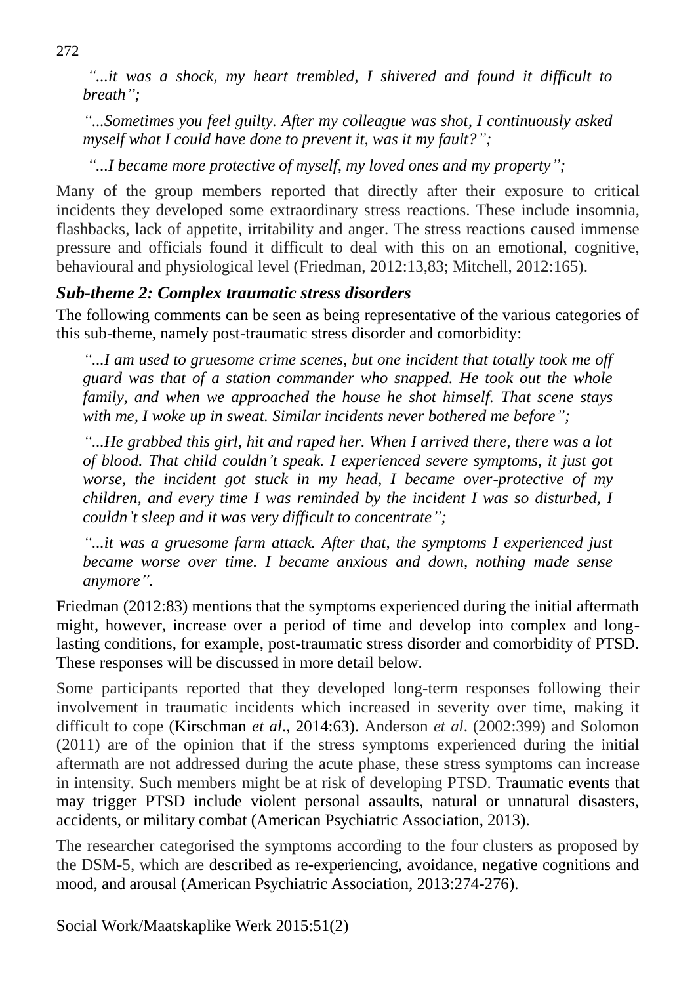*"...it was a shock, my heart trembled, I shivered and found it difficult to breath";* 

*"...Sometimes you feel guilty. After my colleague was shot, I continuously asked myself what I could have done to prevent it, was it my fault?";* 

*"...I became more protective of myself, my loved ones and my property";* 

Many of the group members reported that directly after their exposure to critical incidents they developed some extraordinary stress reactions. These include insomnia, flashbacks, lack of appetite, irritability and anger. The stress reactions caused immense pressure and officials found it difficult to deal with this on an emotional, cognitive, behavioural and physiological level (Friedman, 2012:13,83; Mitchell, 2012:165).

# *Sub-theme 2: Complex traumatic stress disorders*

The following comments can be seen as being representative of the various categories of this sub-theme, namely post-traumatic stress disorder and comorbidity:

*"...I am used to gruesome crime scenes, but one incident that totally took me off guard was that of a station commander who snapped. He took out the whole family, and when we approached the house he shot himself. That scene stays with me, I woke up in sweat. Similar incidents never bothered me before";* 

*"...He grabbed this girl, hit and raped her. When I arrived there, there was a lot of blood. That child couldn't speak. I experienced severe symptoms, it just got worse, the incident got stuck in my head, I became over-protective of my children, and every time I was reminded by the incident I was so disturbed, I couldn't sleep and it was very difficult to concentrate";* 

*"...it was a gruesome farm attack. After that, the symptoms I experienced just became worse over time. I became anxious and down, nothing made sense anymore".* 

Friedman (2012:83) mentions that the symptoms experienced during the initial aftermath might, however, increase over a period of time and develop into complex and longlasting conditions, for example, post-traumatic stress disorder and comorbidity of PTSD. These responses will be discussed in more detail below.

Some participants reported that they developed long-term responses following their involvement in traumatic incidents which increased in severity over time, making it difficult to cope (Kirschman *et al*., 2014:63). Anderson *et al*. (2002:399) and Solomon (2011) are of the opinion that if the stress symptoms experienced during the initial aftermath are not addressed during the acute phase, these stress symptoms can increase in intensity. Such members might be at risk of developing PTSD. Traumatic events that may trigger PTSD include violent personal assaults, natural or unnatural disasters, accidents, or military combat (American Psychiatric Association, 2013).

The researcher categorised the symptoms according to the four clusters as proposed by the DSM-5, which are described as re-experiencing, avoidance, negative cognitions and mood, and arousal (American Psychiatric Association, 2013:274-276).

Social Work/Maatskaplike Werk 2015:51(2)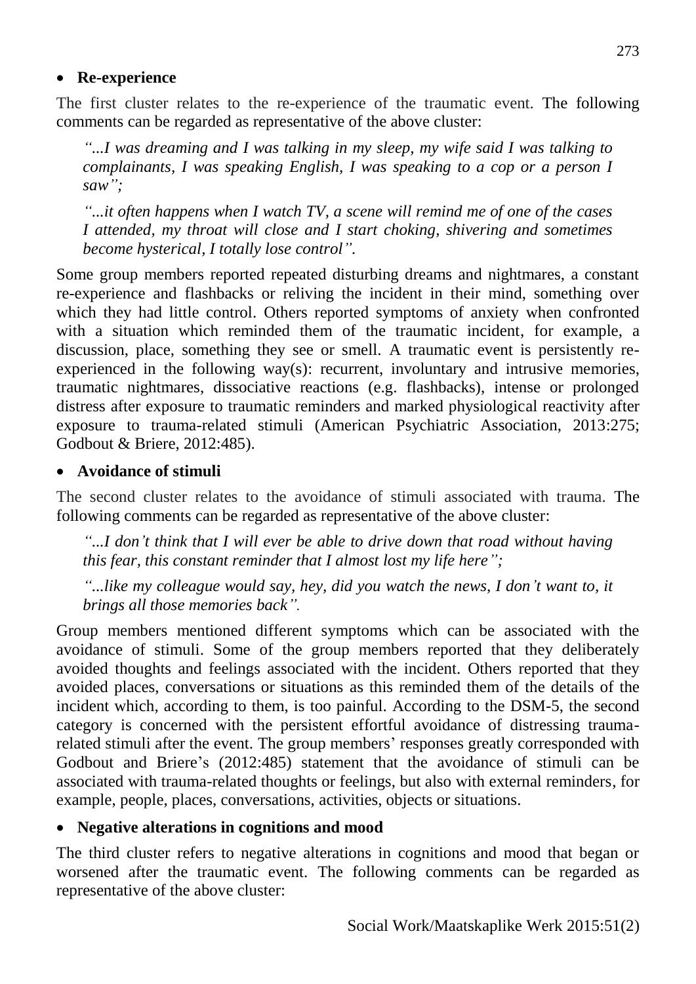#### **Re-experience**

The first cluster relates to the re-experience of the traumatic event. The following comments can be regarded as representative of the above cluster:

*"...I was dreaming and I was talking in my sleep, my wife said I was talking to complainants, I was speaking English, I was speaking to a cop or a person I saw";* 

*"...it often happens when I watch TV, a scene will remind me of one of the cases I attended, my throat will close and I start choking, shivering and sometimes become hysterical, I totally lose control".* 

Some group members reported repeated disturbing dreams and nightmares, a constant re-experience and flashbacks or reliving the incident in their mind, something over which they had little control. Others reported symptoms of anxiety when confronted with a situation which reminded them of the traumatic incident, for example, a discussion, place, something they see or smell. A traumatic event is persistently reexperienced in the following way(s): recurrent, involuntary and intrusive memories, traumatic nightmares, dissociative reactions (e.g. flashbacks), intense or prolonged distress after exposure to traumatic reminders and marked physiological reactivity after exposure to trauma-related stimuli (American Psychiatric Association, 2013:275; Godbout & Briere, 2012:485).

### **Avoidance of stimuli**

The second cluster relates to the avoidance of stimuli associated with trauma. The following comments can be regarded as representative of the above cluster:

*"...I don't think that I will ever be able to drive down that road without having this fear, this constant reminder that I almost lost my life here";* 

*"...like my colleague would say, hey, did you watch the news, I don't want to, it brings all those memories back".*

Group members mentioned different symptoms which can be associated with the avoidance of stimuli. Some of the group members reported that they deliberately avoided thoughts and feelings associated with the incident. Others reported that they avoided places, conversations or situations as this reminded them of the details of the incident which, according to them, is too painful. According to the DSM-5, the second category is concerned with the persistent effortful avoidance of distressing traumarelated stimuli after the event. The group members' responses greatly corresponded with Godbout and Briere's (2012:485) statement that the avoidance of stimuli can be associated with trauma-related thoughts or feelings, but also with external reminders, for example, people, places, conversations, activities, objects or situations.

### **Negative alterations in cognitions and mood**

The third cluster refers to negative alterations in cognitions and mood that began or worsened after the traumatic event. The following comments can be regarded as representative of the above cluster: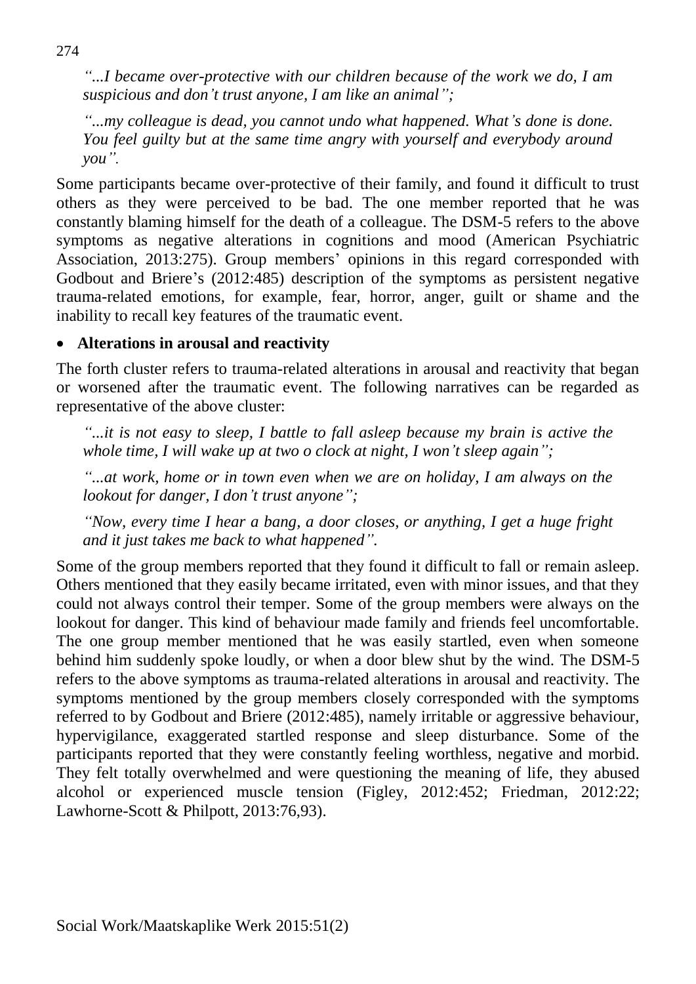*"...I became over-protective with our children because of the work we do, I am suspicious and don't trust anyone, I am like an animal";* 

*"...my colleague is dead, you cannot undo what happened. What's done is done. You feel guilty but at the same time angry with yourself and everybody around you".*

Some participants became over-protective of their family, and found it difficult to trust others as they were perceived to be bad. The one member reported that he was constantly blaming himself for the death of a colleague. The DSM-5 refers to the above symptoms as negative alterations in cognitions and mood (American Psychiatric Association, 2013:275). Group members' opinions in this regard corresponded with Godbout and Briere's (2012:485) description of the symptoms as persistent negative trauma-related emotions, for example, fear, horror, anger, guilt or shame and the inability to recall key features of the traumatic event.

### **Alterations in arousal and reactivity**

The forth cluster refers to trauma-related alterations in arousal and reactivity that began or worsened after the traumatic event. The following narratives can be regarded as representative of the above cluster:

*"...it is not easy to sleep, I battle to fall asleep because my brain is active the whole time, I will wake up at two o clock at night, I won't sleep again";* 

*"...at work, home or in town even when we are on holiday, I am always on the lookout for danger, I don't trust anyone";* 

*"Now, every time I hear a bang, a door closes, or anything, I get a huge fright and it just takes me back to what happened".* 

Some of the group members reported that they found it difficult to fall or remain asleep. Others mentioned that they easily became irritated, even with minor issues, and that they could not always control their temper. Some of the group members were always on the lookout for danger. This kind of behaviour made family and friends feel uncomfortable. The one group member mentioned that he was easily startled, even when someone behind him suddenly spoke loudly, or when a door blew shut by the wind. The DSM-5 refers to the above symptoms as trauma-related alterations in arousal and reactivity. The symptoms mentioned by the group members closely corresponded with the symptoms referred to by Godbout and Briere (2012:485), namely irritable or aggressive behaviour, hypervigilance, exaggerated startled response and sleep disturbance. Some of the participants reported that they were constantly feeling worthless, negative and morbid. They felt totally overwhelmed and were questioning the meaning of life, they abused alcohol or experienced muscle tension (Figley, 2012:452; Friedman, 2012:22; Lawhorne-Scott & Philpott, 2013:76,93).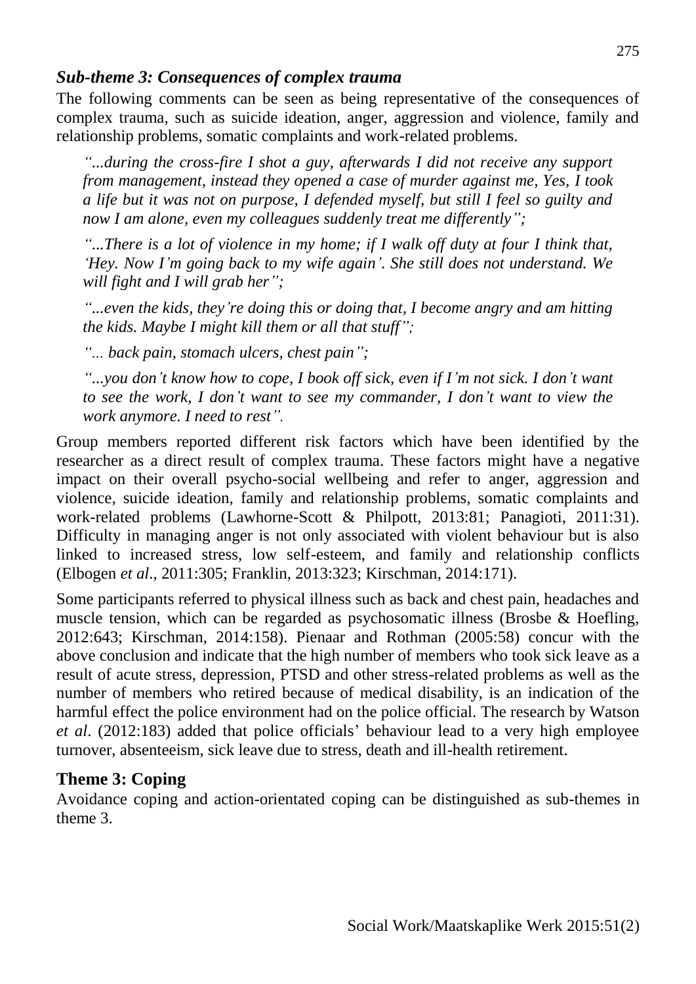### *Sub-theme 3: Consequences of complex trauma*

The following comments can be seen as being representative of the consequences of complex trauma, such as suicide ideation, anger, aggression and violence, family and relationship problems, somatic complaints and work-related problems.

*"...during the cross-fire I shot a guy, afterwards I did not receive any support from management, instead they opened a case of murder against me, Yes, I took a life but it was not on purpose, I defended myself, but still I feel so guilty and now I am alone, even my colleagues suddenly treat me differently";* 

*"...There is a lot of violence in my home; if I walk off duty at four I think that, 'Hey. Now I'm going back to my wife again'. She still does not understand. We will fight and I will grab her";* 

*"...even the kids, they're doing this or doing that, I become angry and am hitting the kids. Maybe I might kill them or all that stuff";*

*"... back pain, stomach ulcers, chest pain";* 

*"...you don't know how to cope, I book off sick, even if I'm not sick. I don't want to see the work, I don't want to see my commander, I don't want to view the work anymore. I need to rest".*

Group members reported different risk factors which have been identified by the researcher as a direct result of complex trauma. These factors might have a negative impact on their overall psycho-social wellbeing and refer to anger, aggression and violence, suicide ideation, family and relationship problems, somatic complaints and work-related problems (Lawhorne-Scott & Philpott, 2013:81; Panagioti, 2011:31). Difficulty in managing anger is not only associated with violent behaviour but is also linked to increased stress, low self-esteem, and family and relationship conflicts (Elbogen *et al*., 2011:305; Franklin, 2013:323; Kirschman, 2014:171).

Some participants referred to physical illness such as back and chest pain, headaches and muscle tension, which can be regarded as psychosomatic illness (Brosbe & Hoefling, 2012:643; Kirschman, 2014:158). Pienaar and Rothman (2005:58) concur with the above conclusion and indicate that the high number of members who took sick leave as a result of acute stress, depression, PTSD and other stress-related problems as well as the number of members who retired because of medical disability, is an indication of the harmful effect the police environment had on the police official. The research by Watson *et al*. (2012:183) added that police officials' behaviour lead to a very high employee turnover, absenteeism, sick leave due to stress, death and ill-health retirement.

## **Theme 3: Coping**

Avoidance coping and action-orientated coping can be distinguished as sub-themes in theme 3.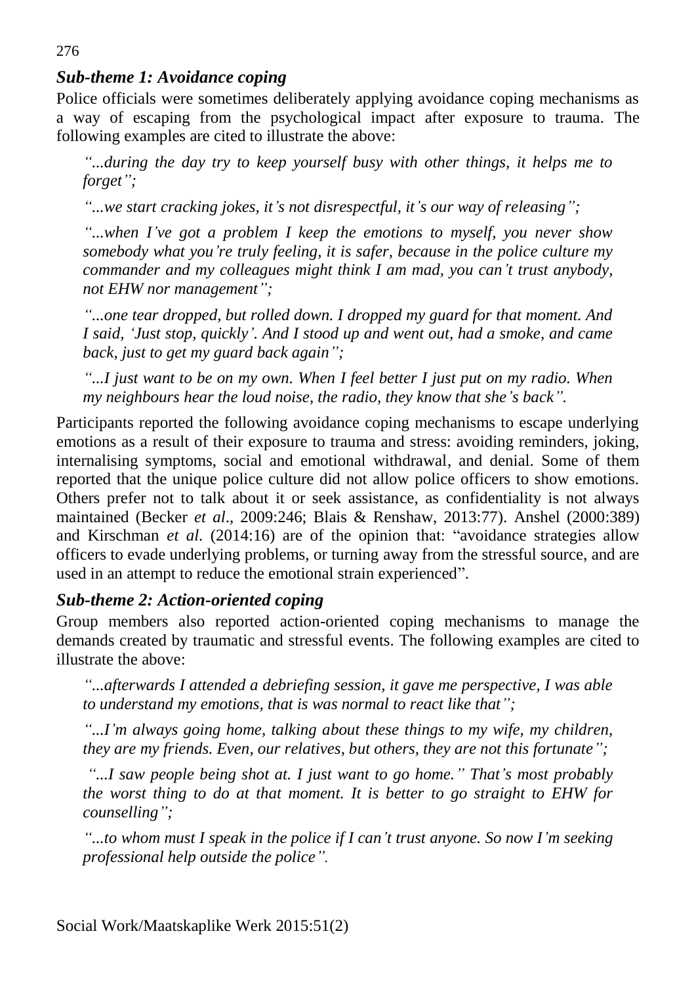# *Sub-theme 1: Avoidance coping*

Police officials were sometimes deliberately applying avoidance coping mechanisms as a way of escaping from the psychological impact after exposure to trauma. The following examples are cited to illustrate the above:

*"...during the day try to keep yourself busy with other things, it helps me to forget";*

*"...we start cracking jokes, it's not disrespectful, it's our way of releasing";*

*"...when I've got a problem I keep the emotions to myself, you never show somebody what you're truly feeling, it is safer, because in the police culture my commander and my colleagues might think I am mad, you can't trust anybody, not EHW nor management";*

*"...one tear dropped, but rolled down. I dropped my guard for that moment. And I said, 'Just stop, quickly'. And I stood up and went out, had a smoke, and came back, just to get my guard back again";*

*"...I just want to be on my own. When I feel better I just put on my radio. When my neighbours hear the loud noise, the radio, they know that she's back".*

Participants reported the following avoidance coping mechanisms to escape underlying emotions as a result of their exposure to trauma and stress: avoiding reminders, joking, internalising symptoms, social and emotional withdrawal, and denial. Some of them reported that the unique police culture did not allow police officers to show emotions. Others prefer not to talk about it or seek assistance, as confidentiality is not always maintained (Becker *et al*., 2009:246; Blais & Renshaw, 2013:77). Anshel (2000:389) and Kirschman *et al*. (2014:16) are of the opinion that: "avoidance strategies allow officers to evade underlying problems, or turning away from the stressful source, and are used in an attempt to reduce the emotional strain experienced".

### *Sub-theme 2: Action-oriented coping*

Group members also reported action-oriented coping mechanisms to manage the demands created by traumatic and stressful events. The following examples are cited to illustrate the above:

*"...afterwards I attended a debriefing session, it gave me perspective, I was able to understand my emotions, that is was normal to react like that";*

*"...I'm always going home, talking about these things to my wife, my children, they are my friends. Even, our relatives, but others, they are not this fortunate";*

*"...I saw people being shot at. I just want to go home." That's most probably the worst thing to do at that moment. It is better to go straight to EHW for counselling";*

*"...to whom must I speak in the police if I can't trust anyone. So now I'm seeking professional help outside the police".*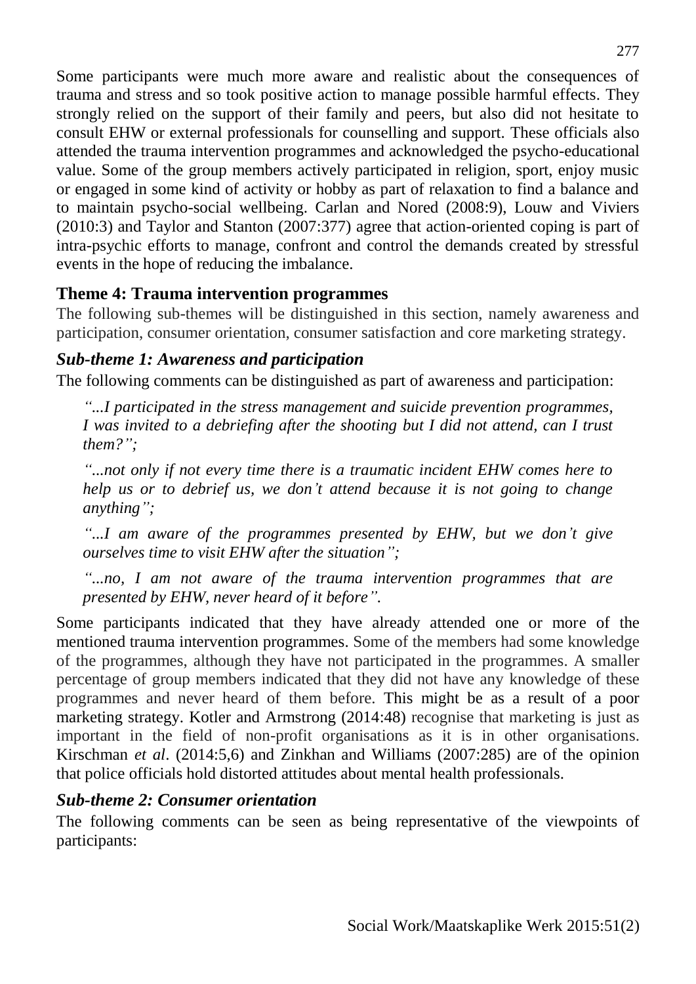Some participants were much more aware and realistic about the consequences of trauma and stress and so took positive action to manage possible harmful effects. They strongly relied on the support of their family and peers, but also did not hesitate to consult EHW or external professionals for counselling and support. These officials also attended the trauma intervention programmes and acknowledged the psycho-educational value. Some of the group members actively participated in religion, sport, enjoy music or engaged in some kind of activity or hobby as part of relaxation to find a balance and to maintain psycho-social wellbeing. Carlan and Nored (2008:9), Louw and Viviers (2010:3) and Taylor and Stanton (2007:377) agree that action-oriented coping is part of intra-psychic efforts to manage, confront and control the demands created by stressful events in the hope of reducing the imbalance.

# **Theme 4: Trauma intervention programmes**

The following sub-themes will be distinguished in this section, namely awareness and participation, consumer orientation, consumer satisfaction and core marketing strategy.

## *Sub-theme 1: Awareness and participation*

The following comments can be distinguished as part of awareness and participation:

*"...I participated in the stress management and suicide prevention programmes, I* was invited to a debriefing after the shooting but *I* did not attend, can *I* trust *them?";*

*"...not only if not every time there is a traumatic incident EHW comes here to help us or to debrief us, we don't attend because it is not going to change anything";*

*"...I am aware of the programmes presented by EHW, but we don't give ourselves time to visit EHW after the situation";*

*"...no, I am not aware of the trauma intervention programmes that are presented by EHW, never heard of it before".*

Some participants indicated that they have already attended one or more of the mentioned trauma intervention programmes. Some of the members had some knowledge of the programmes, although they have not participated in the programmes. A smaller percentage of group members indicated that they did not have any knowledge of these programmes and never heard of them before. This might be as a result of a poor marketing strategy. Kotler and Armstrong (2014:48) recognise that marketing is just as important in the field of non-profit organisations as it is in other organisations. Kirschman *et al*. (2014:5,6) and Zinkhan and Williams (2007:285) are of the opinion that police officials hold distorted attitudes about mental health professionals.

## *Sub-theme 2: Consumer orientation*

The following comments can be seen as being representative of the viewpoints of participants: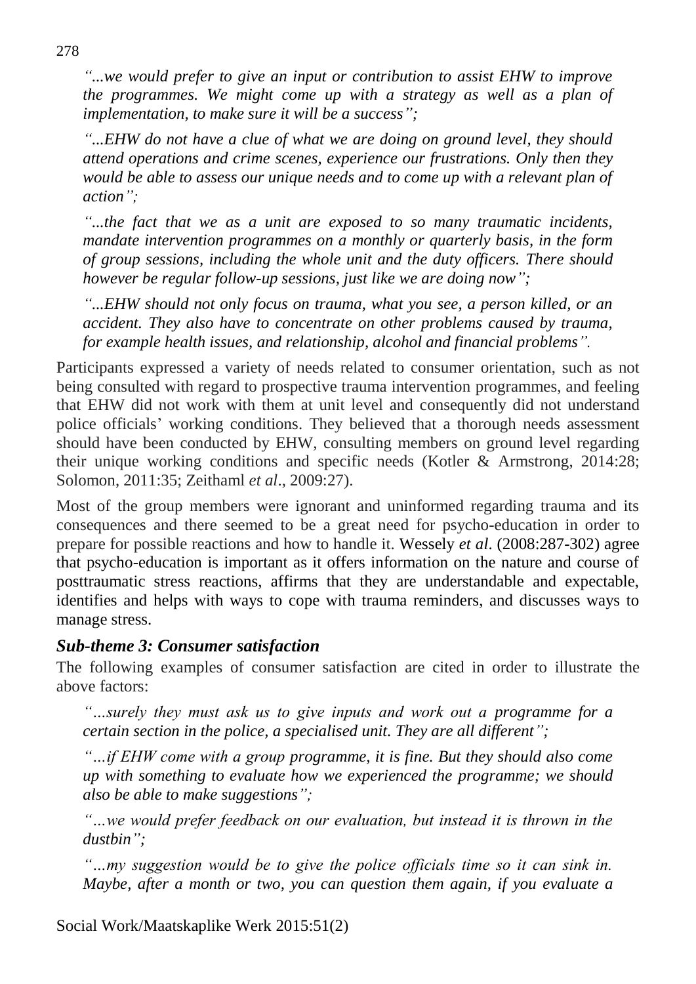*"...we would prefer to give an input or contribution to assist EHW to improve the programmes. We might come up with a strategy as well as a plan of implementation, to make sure it will be a success";*

*"...EHW do not have a clue of what we are doing on ground level, they should attend operations and crime scenes, experience our frustrations. Only then they would be able to assess our unique needs and to come up with a relevant plan of action";* 

*"...the fact that we as a unit are exposed to so many traumatic incidents, mandate intervention programmes on a monthly or quarterly basis, in the form of group sessions, including the whole unit and the duty officers. There should however be regular follow-up sessions, just like we are doing now";*

*"...EHW should not only focus on trauma, what you see, a person killed, or an accident. They also have to concentrate on other problems caused by trauma, for example health issues, and relationship, alcohol and financial problems".*

Participants expressed a variety of needs related to consumer orientation, such as not being consulted with regard to prospective trauma intervention programmes, and feeling that EHW did not work with them at unit level and consequently did not understand police officials' working conditions. They believed that a thorough needs assessment should have been conducted by EHW, consulting members on ground level regarding their unique working conditions and specific needs (Kotler & Armstrong, 2014:28; Solomon, 2011:35; Zeithaml *et al*., 2009:27).

Most of the group members were ignorant and uninformed regarding trauma and its consequences and there seemed to be a great need for psycho-education in order to prepare for possible reactions and how to handle it. Wessely *et al*. (2008:287-302) agree that psycho-education is important as it offers information on the nature and course of posttraumatic stress reactions, affirms that they are understandable and expectable, identifies and helps with ways to cope with trauma reminders, and discusses ways to manage stress.

## *Sub-theme 3: Consumer satisfaction*

The following examples of consumer satisfaction are cited in order to illustrate the above factors:

*"…surely they must ask us to give inputs and work out a programme for a certain section in the police, a specialised unit. They are all different";*

*"…if EHW come with a group programme, it is fine. But they should also come up with something to evaluate how we experienced the programme; we should also be able to make suggestions";*

*"…we would prefer feedback on our evaluation, but instead it is thrown in the dustbin";*

*"…my suggestion would be to give the police officials time so it can sink in. Maybe, after a month or two, you can question them again, if you evaluate a*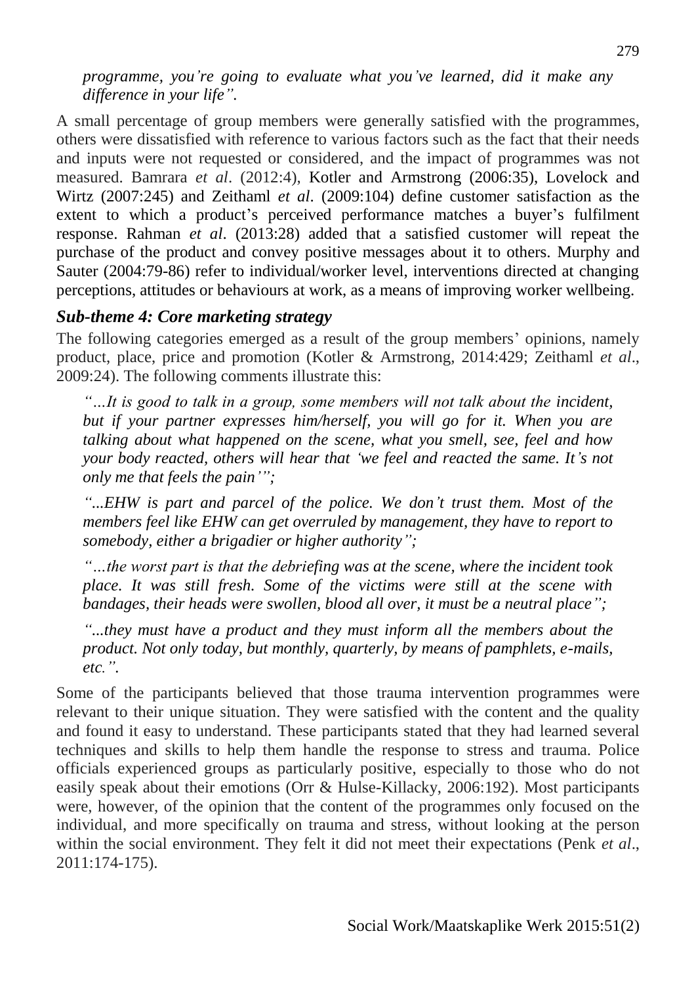*programme, you're going to evaluate what you've learned, did it make any difference in your life".*

A small percentage of group members were generally satisfied with the programmes, others were dissatisfied with reference to various factors such as the fact that their needs and inputs were not requested or considered, and the impact of programmes was not measured. Bamrara *et al*. (2012:4), Kotler and Armstrong (2006:35), Lovelock and Wirtz (2007:245) and Zeithaml *et al*. (2009:104) define customer satisfaction as the extent to which a product's perceived performance matches a buyer's fulfilment response. Rahman *et al*. (2013:28) added that a satisfied customer will repeat the purchase of the product and convey positive messages about it to others. Murphy and Sauter (2004:79-86) refer to individual/worker level, interventions directed at changing perceptions, attitudes or behaviours at work, as a means of improving worker wellbeing.

#### *Sub-theme 4: Core marketing strategy*

The following categories emerged as a result of the group members' opinions, namely product, place, price and promotion (Kotler & Armstrong, 2014:429; Zeithaml *et al*., 2009:24). The following comments illustrate this:

*"…It is good to talk in a group, some members will not talk about the incident, but if your partner expresses him/herself, you will go for it. When you are talking about what happened on the scene, what you smell, see, feel and how your body reacted, others will hear that 'we feel and reacted the same. It's not only me that feels the pain'";*

*"...EHW is part and parcel of the police. We don't trust them. Most of the members feel like EHW can get overruled by management, they have to report to somebody, either a brigadier or higher authority";*

*"…the worst part is that the debriefing was at the scene, where the incident took place. It was still fresh. Some of the victims were still at the scene with bandages, their heads were swollen, blood all over, it must be a neutral place";*

*"...they must have a product and they must inform all the members about the product. Not only today, but monthly, quarterly, by means of pamphlets, e-mails, etc.".*

Some of the participants believed that those trauma intervention programmes were relevant to their unique situation. They were satisfied with the content and the quality and found it easy to understand. These participants stated that they had learned several techniques and skills to help them handle the response to stress and trauma. Police officials experienced groups as particularly positive, especially to those who do not easily speak about their emotions (Orr & Hulse-Killacky, 2006:192). Most participants were, however, of the opinion that the content of the programmes only focused on the individual, and more specifically on trauma and stress, without looking at the person within the social environment. They felt it did not meet their expectations (Penk *et al*., 2011:174-175).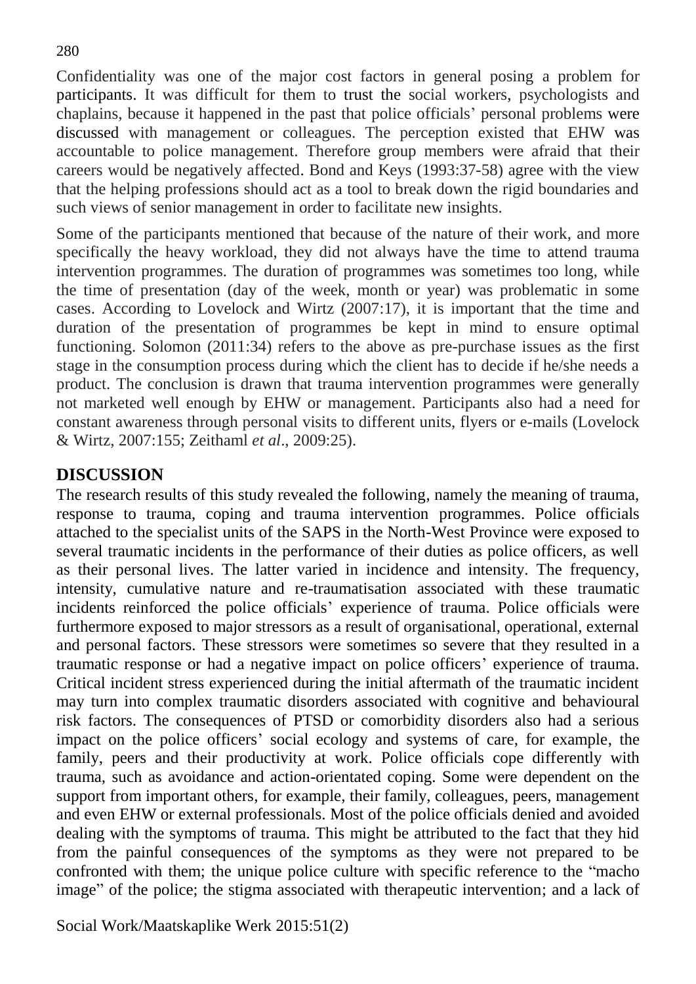Confidentiality was one of the major cost factors in general posing a problem for participants. It was difficult for them to trust the social workers, psychologists and chaplains, because it happened in the past that police officials' personal problems were discussed with management or colleagues. The perception existed that EHW was accountable to police management. Therefore group members were afraid that their careers would be negatively affected. Bond and Keys (1993:37-58) agree with the view that the helping professions should act as a tool to break down the rigid boundaries and such views of senior management in order to facilitate new insights.

Some of the participants mentioned that because of the nature of their work, and more specifically the heavy workload, they did not always have the time to attend trauma intervention programmes. The duration of programmes was sometimes too long, while the time of presentation (day of the week, month or year) was problematic in some cases. According to Lovelock and Wirtz (2007:17), it is important that the time and duration of the presentation of programmes be kept in mind to ensure optimal functioning. Solomon (2011:34) refers to the above as pre-purchase issues as the first stage in the consumption process during which the client has to decide if he/she needs a product. The conclusion is drawn that trauma intervention programmes were generally not marketed well enough by EHW or management. Participants also had a need for constant awareness through personal visits to different units, flyers or e-mails (Lovelock & Wirtz, 2007:155; Zeithaml *et al*., 2009:25).

### **DISCUSSION**

The research results of this study revealed the following, namely the meaning of trauma, response to trauma, coping and trauma intervention programmes. Police officials attached to the specialist units of the SAPS in the North-West Province were exposed to several traumatic incidents in the performance of their duties as police officers, as well as their personal lives. The latter varied in incidence and intensity. The frequency, intensity, cumulative nature and re-traumatisation associated with these traumatic incidents reinforced the police officials' experience of trauma. Police officials were furthermore exposed to major stressors as a result of organisational, operational, external and personal factors. These stressors were sometimes so severe that they resulted in a traumatic response or had a negative impact on police officers' experience of trauma. Critical incident stress experienced during the initial aftermath of the traumatic incident may turn into complex traumatic disorders associated with cognitive and behavioural risk factors. The consequences of PTSD or comorbidity disorders also had a serious impact on the police officers' social ecology and systems of care, for example, the family, peers and their productivity at work. Police officials cope differently with trauma, such as avoidance and action-orientated coping. Some were dependent on the support from important others, for example, their family, colleagues, peers, management and even EHW or external professionals. Most of the police officials denied and avoided dealing with the symptoms of trauma. This might be attributed to the fact that they hid from the painful consequences of the symptoms as they were not prepared to be confronted with them; the unique police culture with specific reference to the "macho image" of the police; the stigma associated with therapeutic intervention; and a lack of

Social Work/Maatskaplike Werk 2015:51(2)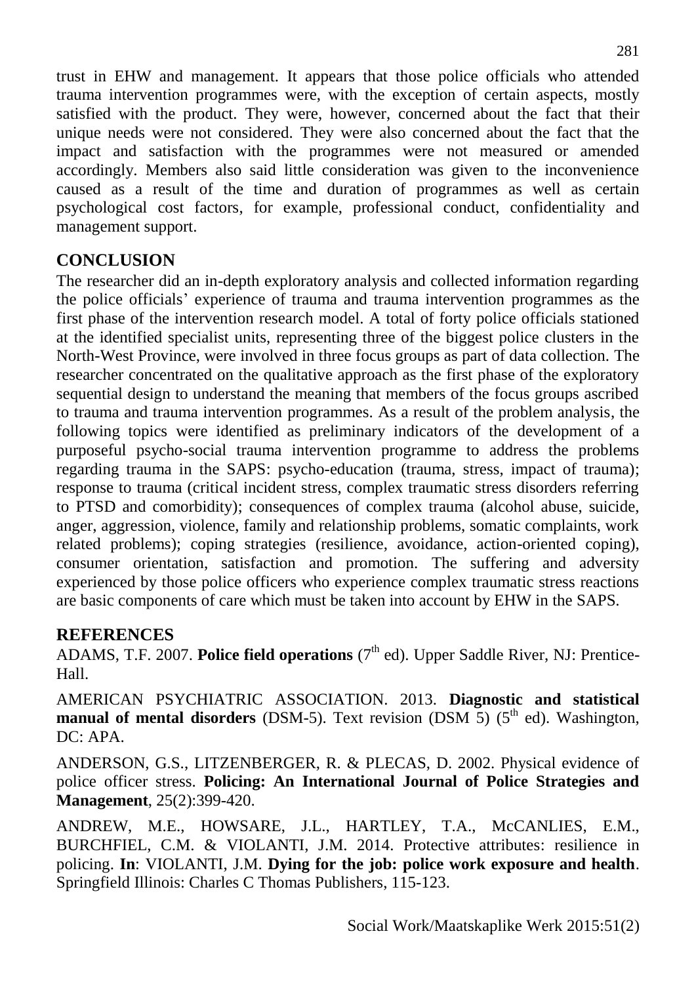trust in EHW and management. It appears that those police officials who attended trauma intervention programmes were, with the exception of certain aspects, mostly satisfied with the product. They were, however, concerned about the fact that their unique needs were not considered. They were also concerned about the fact that the impact and satisfaction with the programmes were not measured or amended accordingly. Members also said little consideration was given to the inconvenience caused as a result of the time and duration of programmes as well as certain psychological cost factors, for example, professional conduct, confidentiality and management support.

# **CONCLUSION**

The researcher did an in-depth exploratory analysis and collected information regarding the police officials' experience of trauma and trauma intervention programmes as the first phase of the intervention research model. A total of forty police officials stationed at the identified specialist units, representing three of the biggest police clusters in the North-West Province, were involved in three focus groups as part of data collection. The researcher concentrated on the qualitative approach as the first phase of the exploratory sequential design to understand the meaning that members of the focus groups ascribed to trauma and trauma intervention programmes. As a result of the problem analysis, the following topics were identified as preliminary indicators of the development of a purposeful psycho-social trauma intervention programme to address the problems regarding trauma in the SAPS: psycho-education (trauma, stress, impact of trauma); response to trauma (critical incident stress, complex traumatic stress disorders referring to PTSD and comorbidity); consequences of complex trauma (alcohol abuse, suicide, anger, aggression, violence, family and relationship problems, somatic complaints, work related problems); coping strategies (resilience, avoidance, action-oriented coping), consumer orientation, satisfaction and promotion. The suffering and adversity experienced by those police officers who experience complex traumatic stress reactions are basic components of care which must be taken into account by EHW in the SAPS.

### **REFERENCES**

ADAMS, T.F. 2007. Police field operations (7<sup>th</sup> ed). Upper Saddle River, NJ: Prentice-Hall.

AMERICAN PSYCHIATRIC ASSOCIATION. 2013. **Diagnostic and statistical manual of mental disorders** (DSM-5). Text revision (DSM 5) (5<sup>th</sup> ed). Washington, DC: APA.

ANDERSON, G.S., LITZENBERGER, R. & PLECAS, D. 2002. Physical evidence of police officer stress. **Policing: An International Journal of Police Strategies and Management**, 25(2):399-420.

ANDREW, M.E., HOWSARE, J.L., HARTLEY, T.A., McCANLIES, E.M., BURCHFIEL, C.M. & VIOLANTI, J.M. 2014. Protective attributes: resilience in policing. **In**: VIOLANTI, J.M. **Dying for the job: police work exposure and health**. Springfield Illinois: Charles C Thomas Publishers, 115-123.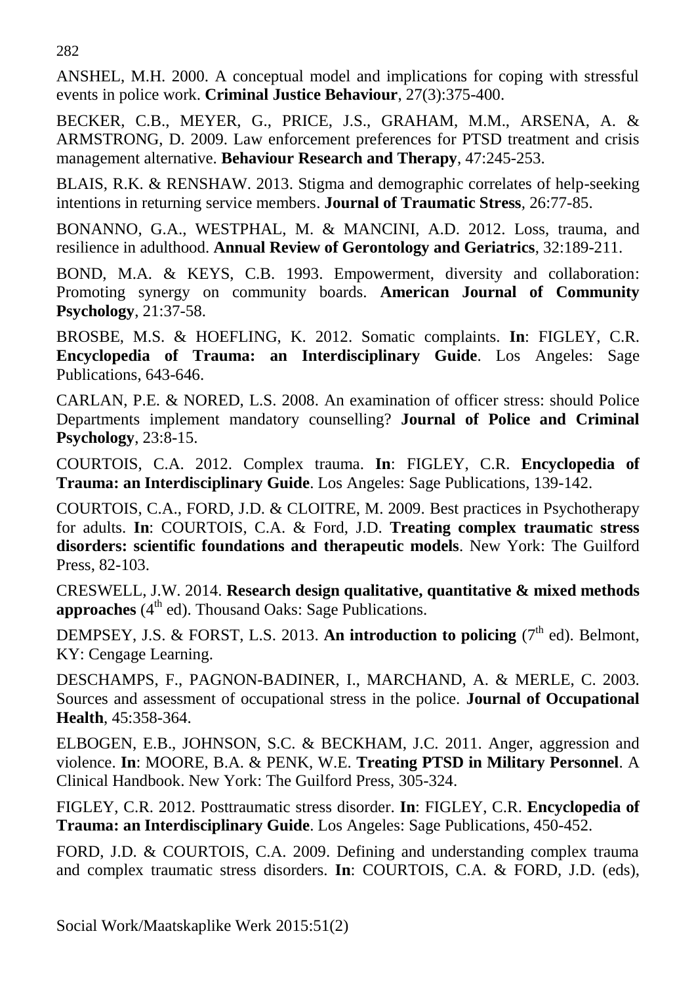282

ANSHEL, M.H. 2000. A conceptual model and implications for coping with stressful events in police work. **Criminal Justice Behaviour**, 27(3):375-400.

BECKER, C.B., MEYER, G., PRICE, J.S., GRAHAM, M.M., ARSENA, A. & ARMSTRONG, D. 2009. Law enforcement preferences for PTSD treatment and crisis management alternative. **Behaviour Research and Therapy**, 47:245-253.

BLAIS, R.K. & RENSHAW. 2013. Stigma and demographic correlates of help-seeking intentions in returning service members. **Journal of Traumatic Stress***,* 26:77-85.

BONANNO, G.A., WESTPHAL, M. & MANCINI, A.D. 2012. Loss, trauma, and resilience in adulthood. **Annual Review of Gerontology and Geriatrics**, 32:189-211.

BOND, M.A. & KEYS, C.B. 1993. Empowerment, diversity and collaboration: Promoting synergy on community boards. **American Journal of Community Psychology**, 21:37-58.

BROSBE, M.S. & HOEFLING, K. 2012. Somatic complaints. **In**: FIGLEY, C.R. **Encyclopedia of Trauma: an Interdisciplinary Guide**. Los Angeles: Sage Publications, 643-646.

CARLAN, P.E. & NORED, L.S. 2008. An examination of officer stress: should Police Departments implement mandatory counselling? **Journal of Police and Criminal Psychology**, 23:8-15.

COURTOIS, C.A. 2012. Complex trauma. **In**: FIGLEY, C.R. **Encyclopedia of Trauma: an Interdisciplinary Guide**. Los Angeles: Sage Publications, 139-142.

COURTOIS, C.A., FORD, J.D. & CLOITRE, M. 2009. Best practices in Psychotherapy for adults. **In**: COURTOIS, C.A. & Ford, J.D. **Treating complex traumatic stress disorders: scientific foundations and therapeutic models**. New York: The Guilford Press, 82-103.

CRESWELL, J.W. 2014. **Research design qualitative, quantitative & mixed methods**  approaches (4<sup>th</sup> ed). Thousand Oaks: Sage Publications.

DEMPSEY, J.S. & FORST, L.S. 2013. An introduction to policing (7<sup>th</sup> ed). Belmont, KY: Cengage Learning.

DESCHAMPS, F., PAGNON-BADINER, I., MARCHAND, A. & MERLE, C. 2003. Sources and assessment of occupational stress in the police. **Journal of Occupational Health**, 45:358-364.

ELBOGEN, E.B., JOHNSON, S.C. & BECKHAM, J.C. 2011. Anger, aggression and violence. **In**: MOORE, B.A. & PENK, W.E. **Treating PTSD in Military Personnel**. A Clinical Handbook. New York: The Guilford Press, 305-324.

FIGLEY, C.R. 2012. Posttraumatic stress disorder. **In**: FIGLEY, C.R. **Encyclopedia of Trauma: an Interdisciplinary Guide**. Los Angeles: Sage Publications, 450-452.

FORD, J.D. & COURTOIS, C.A. 2009. Defining and understanding complex trauma and complex traumatic stress disorders. **In**: COURTOIS, C.A. & FORD, J.D. (eds),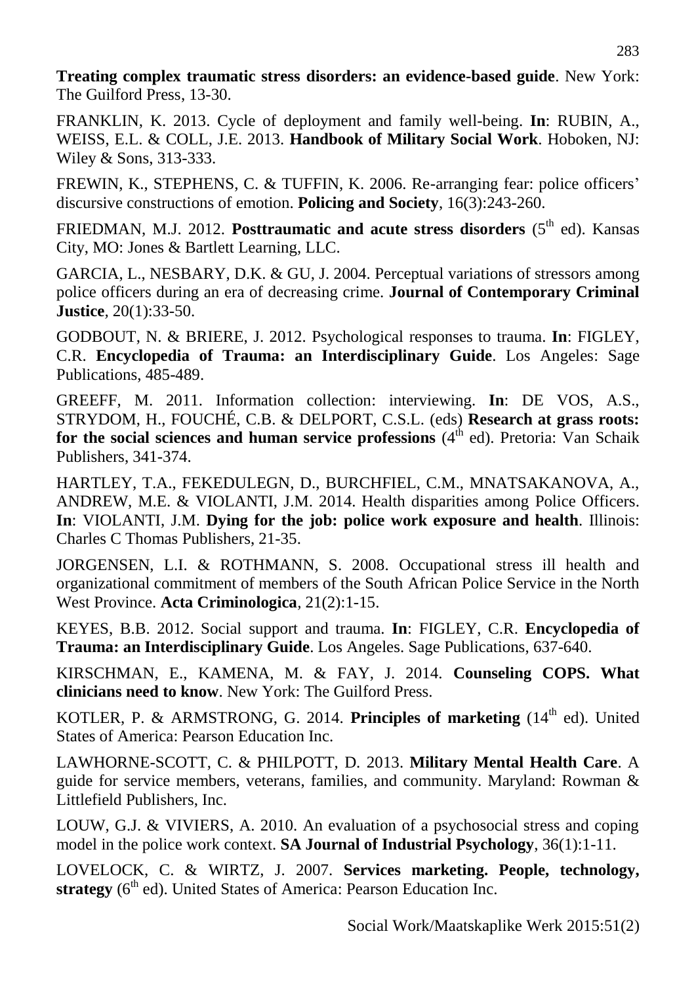**Treating complex traumatic stress disorders: an evidence-based guide**. New York: The Guilford Press, 13-30.

FRANKLIN, K. 2013. Cycle of deployment and family well-being. **In**: RUBIN, A., WEISS, E.L. & COLL, J.E. 2013. **Handbook of Military Social Work**. Hoboken, NJ: Wiley & Sons, 313-333.

FREWIN, K., STEPHENS, C. & TUFFIN, K. 2006. Re-arranging fear: police officers' discursive constructions of emotion. **Policing and Society**, 16(3):243-260.

FRIEDMAN, M.J. 2012. **Posttraumatic and acute stress disorders** (5<sup>th</sup> ed). Kansas City, MO: Jones & Bartlett Learning, LLC.

GARCIA, L., NESBARY, D.K. & GU, J. 2004. Perceptual variations of stressors among police officers during an era of decreasing crime. **Journal of Contemporary Criminal Justice***,* 20(1):33-50.

GODBOUT, N. & BRIERE, J. 2012. Psychological responses to trauma. **In**: FIGLEY, C.R. **Encyclopedia of Trauma: an Interdisciplinary Guide**. Los Angeles: Sage Publications, 485-489.

GREEFF, M. 2011. Information collection: interviewing. **In**: DE VOS, A.S., STRYDOM, H., FOUCHÉ, C.B. & DELPORT, C.S.L. (eds) **Research at grass roots:** for the social sciences and human service professions (4<sup>th</sup> ed). Pretoria: Van Schaik Publishers, 341-374.

HARTLEY, T.A., FEKEDULEGN, D., BURCHFIEL, C.M., MNATSAKANOVA, A., ANDREW, M.E. & VIOLANTI, J.M. 2014. Health disparities among Police Officers. **In**: VIOLANTI, J.M. **Dying for the job: police work exposure and health**. Illinois: Charles C Thomas Publishers, 21-35.

JORGENSEN, L.I. & ROTHMANN, S. 2008. Occupational stress ill health and organizational commitment of members of the South African Police Service in the North West Province. **Acta Criminologica***,* 21(2):1-15.

KEYES, B.B. 2012. Social support and trauma. **In**: FIGLEY, C.R. **Encyclopedia of Trauma: an Interdisciplinary Guide**. Los Angeles. Sage Publications, 637-640.

KIRSCHMAN, E., KAMENA, M. & FAY, J. 2014. **Counseling COPS. What clinicians need to know**. New York: The Guilford Press.

KOTLER, P. & ARMSTRONG, G. 2014. Principles of marketing (14<sup>th</sup> ed). United States of America: Pearson Education Inc.

LAWHORNE-SCOTT, C. & PHILPOTT, D. 2013. **Military Mental Health Care**. A guide for service members, veterans, families, and community. Maryland: Rowman & Littlefield Publishers, Inc.

LOUW, G.J. & VIVIERS, A. 2010. An evaluation of a psychosocial stress and coping model in the police work context. **SA Journal of Industrial Psychology**, 36(1):1-11.

LOVELOCK, C. & WIRTZ, J. 2007. **Services marketing. People, technology,**  strategy (6<sup>th</sup> ed). United States of America: Pearson Education Inc.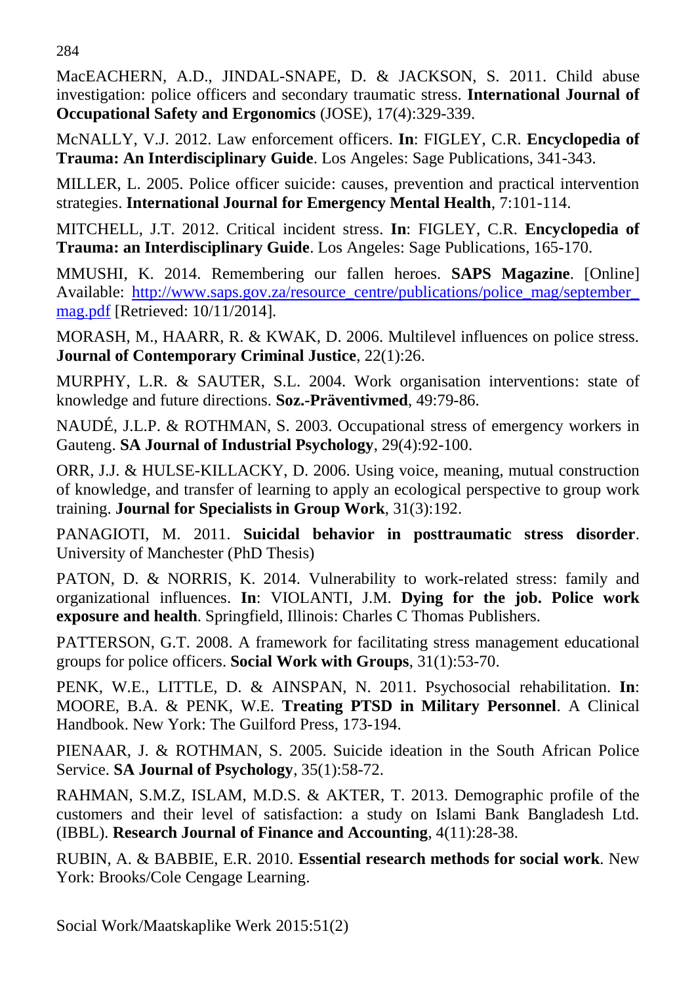284

MacEACHERN, A.D., JINDAL-SNAPE, D. & JACKSON, S. 2011. Child abuse investigation: police officers and secondary traumatic stress. **International Journal of Occupational Safety and Ergonomics** (JOSE), 17(4):329-339.

McNALLY, V.J. 2012. Law enforcement officers. **In**: FIGLEY, C.R. **Encyclopedia of Trauma: An Interdisciplinary Guide**. Los Angeles: Sage Publications, 341-343.

MILLER, L. 2005. Police officer suicide: causes, prevention and practical intervention strategies. **International Journal for Emergency Mental Health**, 7:101-114.

MITCHELL, J.T. 2012. Critical incident stress. **In**: FIGLEY, C.R. **Encyclopedia of Trauma: an Interdisciplinary Guide**. Los Angeles: Sage Publications, 165-170.

MMUSHI, K. 2014. Remembering our fallen heroes. **SAPS Magazine**. [Online] Available: http://www.saps.gov.za/resource\_centre/publications/police\_mag/september [mag.pdf](http://www.saps.gov.za/resource_centre/publications/police_mag/september_%20mag.pdf) [Retrieved: 10/11/2014].

MORASH, M., HAARR, R. & KWAK, D. 2006. Multilevel influences on police stress. **Journal of Contemporary Criminal Justice**, 22(1):26.

MURPHY, L.R. & SAUTER, S.L. 2004. Work organisation interventions: state of knowledge and future directions. **Soz.-Präventivmed**, 49:79-86.

NAUDÉ, J.L.P. & ROTHMAN, S. 2003. Occupational stress of emergency workers in Gauteng. **SA Journal of Industrial Psychology**, 29(4):92-100.

ORR, J.J. & HULSE-KILLACKY, D. 2006. Using voice, meaning, mutual construction of knowledge, and transfer of learning to apply an ecological perspective to group work training. **Journal for Specialists in Group Work**, 31(3):192.

PANAGIOTI, M. 2011. **Suicidal behavior in posttraumatic stress disorder**. University of Manchester (PhD Thesis)

PATON, D. & NORRIS, K. 2014. Vulnerability to work-related stress: family and organizational influences. **In**: VIOLANTI, J.M. **Dying for the job. Police work exposure and health**. Springfield, Illinois: Charles C Thomas Publishers.

PATTERSON, G.T. 2008. A framework for facilitating stress management educational groups for police officers. **Social Work with Groups**, 31(1):53-70.

PENK, W.E., LITTLE, D. & AINSPAN, N. 2011. Psychosocial rehabilitation. **In**: MOORE, B.A. & PENK, W.E. **Treating PTSD in Military Personnel**. A Clinical Handbook. New York: The Guilford Press, 173-194.

PIENAAR, J. & ROTHMAN, S. 2005. Suicide ideation in the South African Police Service. **SA Journal of Psychology**, 35(1):58-72.

RAHMAN, S.M.Z, ISLAM, M.D.S. & AKTER, T. 2013. Demographic profile of the customers and their level of satisfaction: a study on Islami Bank Bangladesh Ltd. (IBBL). **Research Journal of Finance and Accounting**, 4(11):28-38.

RUBIN, A. & BABBIE, E.R. 2010. **Essential research methods for social work**. New York: Brooks/Cole Cengage Learning.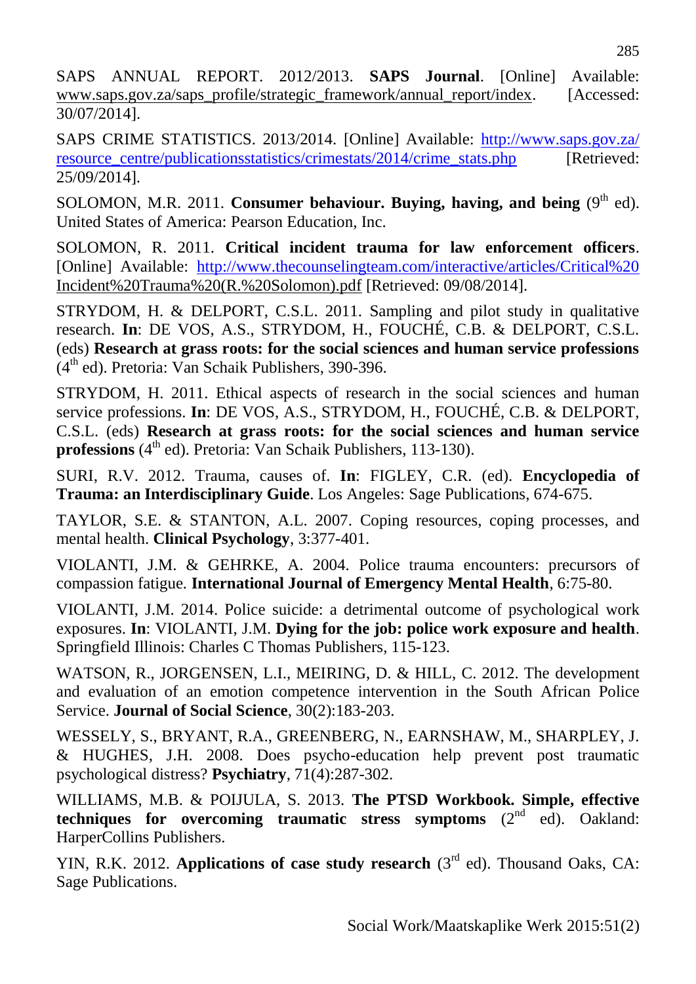SAPS ANNUAL REPORT. 2012/2013. **SAPS Journal**. [Online] Available: [www.saps.gov.za/saps\\_profile/strategic\\_framework/annual\\_report/index.](http://www.saps.gov.za/saps_profile/strategic_framework/annual_report/index) [Accessed: 30/07/2014].

SAPS CRIME STATISTICS. 2013/2014. [Online] Available: [http://www.saps.gov.za/](http://www.saps.gov.za/%20resource_centre/publicationsstatistics/crimestats/2014/crime_stats.php)  [resource\\_centre/publicationsstatistics/crimestats/2014/crime\\_stats.php](http://www.saps.gov.za/%20resource_centre/publicationsstatistics/crimestats/2014/crime_stats.php) [Retrieved: 25/09/2014].

SOLOMON, M.R. 2011. **Consumer behaviour. Buying, having, and being**  $(9<sup>th</sup> ed)$ . United States of America: Pearson Education, Inc.

SOLOMON, R. 2011. **Critical incident trauma for law enforcement officers**. [Online] Available: [http://www.thecounselingteam.com/interactive/articles/Critical%20](http://www.thecounselingteam.com/interactive/articles/Critical) Incident%20Trauma%20(R.%20Solomon).pdf [Retrieved: 09/08/2014].

STRYDOM, H. & DELPORT, C.S.L. 2011. Sampling and pilot study in qualitative research. **In**: DE VOS, A.S., STRYDOM, H., FOUCHÉ, C.B. & DELPORT, C.S.L. (eds) **Research at grass roots: for the social sciences and human service professions** (4<sup>th</sup> ed). Pretoria: Van Schaik Publishers, 390-396.

STRYDOM, H. 2011. Ethical aspects of research in the social sciences and human service professions. **In**: DE VOS, A.S., STRYDOM, H., FOUCHÉ, C.B. & DELPORT, C.S.L. (eds) **Research at grass roots: for the social sciences and human service**  professions (4<sup>th</sup> ed). Pretoria: Van Schaik Publishers, 113-130).

SURI, R.V. 2012. Trauma, causes of. **In**: FIGLEY, C.R. (ed). **Encyclopedia of Trauma: an Interdisciplinary Guide**. Los Angeles: Sage Publications, 674-675.

TAYLOR, S.E. & STANTON, A.L. 2007. Coping resources, coping processes, and mental health. **Clinical Psychology**, 3:377-401.

VIOLANTI, J.M. & GEHRKE, A. 2004. Police trauma encounters: precursors of compassion fatigue*.* **International Journal of Emergency Mental Health**, 6:75-80.

VIOLANTI, J.M. 2014. Police suicide: a detrimental outcome of psychological work exposures. **In**: VIOLANTI, J.M. **Dying for the job: police work exposure and health**. Springfield Illinois: Charles C Thomas Publishers, 115-123.

WATSON, R., JORGENSEN, L.I., MEIRING, D. & HILL, C. 2012. The development and evaluation of an emotion competence intervention in the South African Police Service. **Journal of Social Science**, 30(2):183-203.

WESSELY, S., BRYANT, R.A., GREENBERG, N., EARNSHAW, M., SHARPLEY, J. & HUGHES, J.H. 2008. Does psycho-education help prevent post traumatic psychological distress? **Psychiatry**, 71(4):287-302.

WILLIAMS, M.B. & POIJULA, S. 2013. **The PTSD Workbook. Simple, effective techniques for overcoming traumatic stress symptoms** (2<sup>nd</sup> ed). Oakland: HarperCollins Publishers.

YIN, R.K. 2012. Applications of case study research (3<sup>rd</sup> ed). Thousand Oaks, CA: Sage Publications.